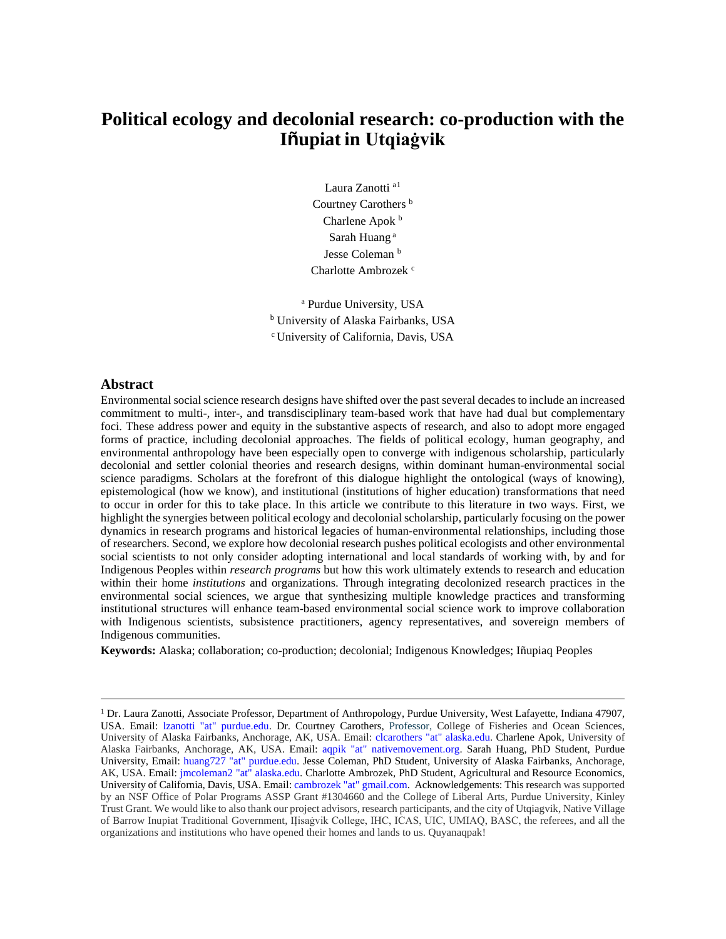# **Political ecology and decolonial research: co-production with the Iñupiat in Utqiaġvik**

Laura Zanotti a<sup>[1](#page-0-0)</sup> Courtney Carothers<sup>b</sup> Charlene Apok b Sarah Huang <sup>a</sup> Jesse Coleman<sup>b</sup> Charlotte Ambrozek<sup>c</sup>

<sup>a</sup> Purdue University, USA <sup>b</sup> University of Alaska Fairbanks, USA <sup>c</sup> University of California, Davis, USA

## **Abstract**

Environmental social science research designs have shifted over the past several decades to include an increased commitment to multi-, inter-, and transdisciplinary team-based work that have had dual but complementary foci. These address power and equity in the substantive aspects of research, and also to adopt more engaged forms of practice, including decolonial approaches. The fields of political ecology, human geography, and environmental anthropology have been especially open to converge with indigenous scholarship, particularly decolonial and settler colonial theories and research designs, within dominant human-environmental social science paradigms. Scholars at the forefront of this dialogue highlight the ontological (ways of knowing), epistemological (how we know), and institutional (institutions of higher education) transformations that need to occur in order for this to take place. In this article we contribute to this literature in two ways. First, we highlight the synergies between political ecology and decolonial scholarship, particularly focusing on the power dynamics in research programs and historical legacies of human-environmental relationships, including those of researchers. Second, we explore how decolonial research pushes political ecologists and other environmental social scientists to not only consider adopting international and local standards of working with, by and for Indigenous Peoples within *research programs* but how this work ultimately extends to research and education within their home *institutions* and organizations. Through integrating decolonized research practices in the environmental social sciences, we argue that synthesizing multiple knowledge practices and transforming institutional structures will enhance team-based environmental social science work to improve collaboration with Indigenous scientists, subsistence practitioners, agency representatives, and sovereign members of Indigenous communities.

**Keywords:** Alaska; collaboration; co-production; decolonial; Indigenous Knowledges; Iñupiaq Peoples

<span id="page-0-0"></span><sup>&</sup>lt;sup>1</sup> Dr. Laura Zanotti, Associate Professor, Department of Anthropology, Purdue University, West Lafayette, Indiana 47907, USA. Email: lzanotti "at" purdue.edu. Dr. Courtney Carothers, Professor, College of Fisheries and Ocean Sciences, University of Alaska Fairbanks, Anchorage, AK, USA. Email: clcarothers "at" alaska.edu. Charlene Apok, University of Alaska Fairbanks, Anchorage, AK, USA. Email: aqpik "at" nativemovement.org. Sarah Huang, PhD Student, Purdue University, Email: huang727 "at" purdue.edu. Jesse Coleman, PhD Student, University of Alaska Fairbanks, Anchorage, AK, USA. Email: jmcoleman2 "at" alaska.edu. Charlotte Ambrozek, PhD Student, Agricultural and Resource Economics, University of California, Davis, USA. Email: cambrozek "at" gmail.com. Acknowledgements: This research was supported by an NSF Office of Polar Programs ASSP Grant #1304660 and the College of Liberal Arts, Purdue University, Kinley Trust Grant. We would like to also thank our project advisors, research participants, and the city of Utqiagvik, Native Village of Barrow Inupiat Traditional Government, IỊisaġvik College, IHC, ICAS, UIC, UMIAQ, BASC, the referees, and all the organizations and institutions who have opened their homes and lands to us. Quyanaqpak!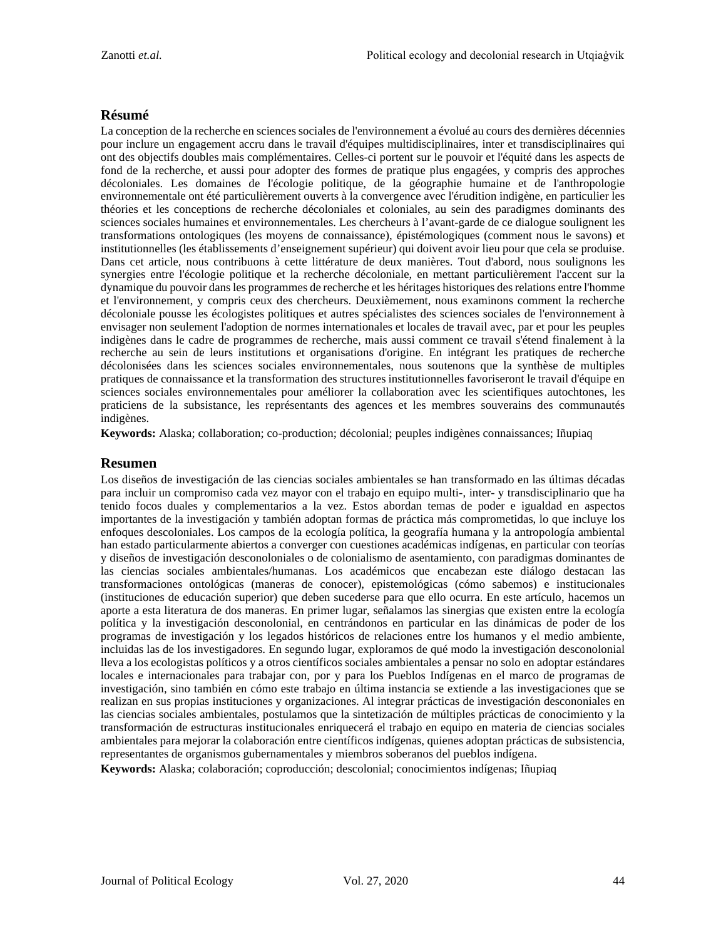# **Résumé**

La conception de la recherche en sciences sociales de l'environnement a évolué au cours des dernières décennies pour inclure un engagement accru dans le travail d'équipes multidisciplinaires, inter et transdisciplinaires qui ont des objectifs doubles mais complémentaires. Celles-ci portent sur le pouvoir et l'équité dans les aspects de fond de la recherche, et aussi pour adopter des formes de pratique plus engagées, y compris des approches décoloniales. Les domaines de l'écologie politique, de la géographie humaine et de l'anthropologie environnementale ont été particulièrement ouverts à la convergence avec l'érudition indigène, en particulier les théories et les conceptions de recherche décoloniales et coloniales, au sein des paradigmes dominants des sciences sociales humaines et environnementales. Les chercheurs à l'avant-garde de ce dialogue soulignent les transformations ontologiques (les moyens de connaissance), épistémologiques (comment nous le savons) et institutionnelles (les établissements d'enseignement supérieur) qui doivent avoir lieu pour que cela se produise. Dans cet article, nous contribuons à cette littérature de deux manières. Tout d'abord, nous soulignons les synergies entre l'écologie politique et la recherche décoloniale, en mettant particulièrement l'accent sur la dynamique du pouvoir dans les programmes de recherche et les héritages historiques des relations entre l'homme et l'environnement, y compris ceux des chercheurs. Deuxièmement, nous examinons comment la recherche décoloniale pousse les écologistes politiques et autres spécialistes des sciences sociales de l'environnement à envisager non seulement l'adoption de normes internationales et locales de travail avec, par et pour les peuples indigènes dans le cadre de programmes de recherche, mais aussi comment ce travail s'étend finalement à la recherche au sein de leurs institutions et organisations d'origine. En intégrant les pratiques de recherche décolonisées dans les sciences sociales environnementales, nous soutenons que la synthèse de multiples pratiques de connaissance et la transformation des structures institutionnelles favoriseront le travail d'équipe en sciences sociales environnementales pour améliorer la collaboration avec les scientifiques autochtones, les praticiens de la subsistance, les représentants des agences et les membres souverains des communautés indigènes.

**Keywords:** Alaska; collaboration; co-production; décolonial; peuples indigènes connaissances; Iñupiaq

# **Resumen**

Los diseños de investigación de las ciencias sociales ambientales se han transformado en las últimas décadas para incluir un compromiso cada vez mayor con el trabajo en equipo multi-, inter- y transdisciplinario que ha tenido focos duales y complementarios a la vez. Estos abordan temas de poder e igualdad en aspectos importantes de la investigación y también adoptan formas de práctica más comprometidas, lo que incluye los enfoques descoloniales. Los campos de la ecología política, la geografía humana y la antropología ambiental han estado particularmente abiertos a converger con cuestiones académicas indígenas, en particular con teorías y diseños de investigación desconoloniales o de colonialismo de asentamiento, con paradigmas dominantes de las ciencias sociales ambientales/humanas. Los académicos que encabezan este diálogo destacan las transformaciones ontológicas (maneras de conocer), epistemológicas (cómo sabemos) e institucionales (instituciones de educación superior) que deben sucederse para que ello ocurra. En este artículo, hacemos un aporte a esta literatura de dos maneras. En primer lugar, señalamos las sinergias que existen entre la ecología política y la investigación desconolonial, en centrándonos en particular en las dinámicas de poder de los programas de investigación y los legados históricos de relaciones entre los humanos y el medio ambiente, incluidas las de los investigadores. En segundo lugar, exploramos de qué modo la investigación desconolonial lleva a los ecologistas políticos y a otros científicos sociales ambientales a pensar no solo en adoptar estándares locales e internacionales para trabajar con, por y para los Pueblos Indígenas en el marco de programas de investigación, sino también en cómo este trabajo en última instancia se extiende a las investigaciones que se realizan en sus propias instituciones y organizaciones. Al integrar prácticas de investigación descononiales en las ciencias sociales ambientales, postulamos que la sintetización de múltiples prácticas de conocimiento y la transformación de estructuras institucionales enriquecerá el trabajo en equipo en materia de ciencias sociales ambientales para mejorar la colaboración entre científicos indígenas, quienes adoptan prácticas de subsistencia, representantes de organismos gubernamentales y miembros soberanos del pueblos indígena.

**Keywords:** Alaska; colaboración; coproducción; descolonial; conocimientos indígenas; Iñupiaq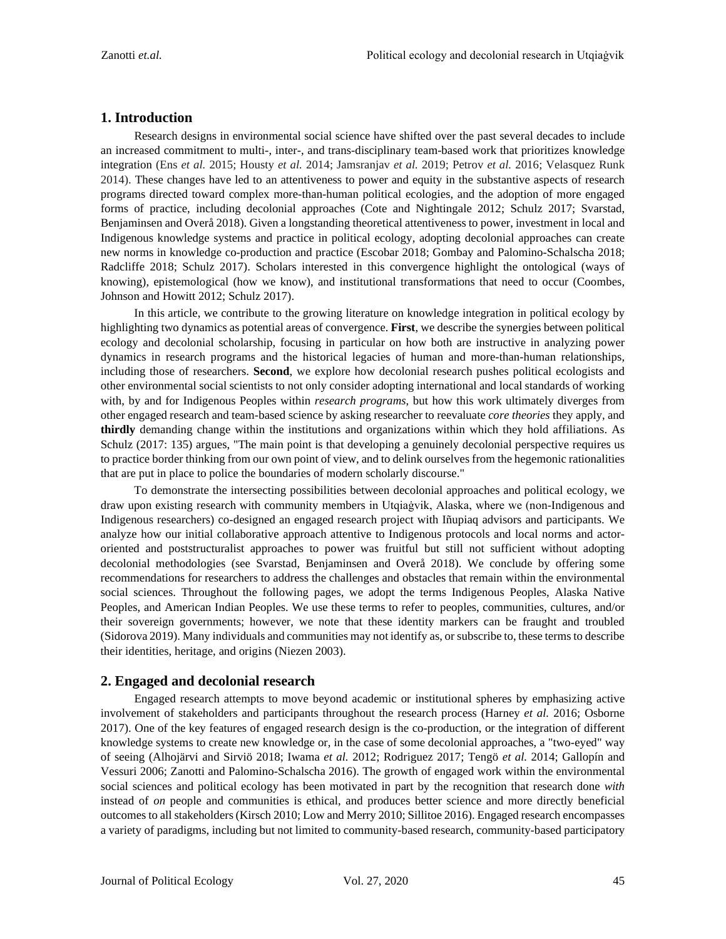### **1. Introduction**

Research designs in environmental social science have shifted over the past several decades to include an increased commitment to multi-, inter-, and trans-disciplinary team-based work that prioritizes knowledge integration (Ens *et al.* 2015; Housty *et al.* 2014; Jamsranjav *et al.* 2019; Petrov *et al.* 2016; Velasquez Runk 2014). These changes have led to an attentiveness to power and equity in the substantive aspects of research programs directed toward complex more-than-human political ecologies, and the adoption of more engaged forms of practice, including decolonial approaches (Cote and Nightingale 2012; Schulz 2017; Svarstad, Benjaminsen and Overå 2018). Given a longstanding theoretical attentiveness to power, investment in local and Indigenous knowledge systems and practice in political ecology, adopting decolonial approaches can create new norms in knowledge co-production and practice (Escobar 2018; Gombay and Palomino-Schalscha 2018; Radcliffe 2018; Schulz 2017). Scholars interested in this convergence highlight the ontological (ways of knowing), epistemological (how we know), and institutional transformations that need to occur (Coombes, Johnson and Howitt 2012; Schulz 2017).

In this article, we contribute to the growing literature on knowledge integration in political ecology by highlighting two dynamics as potential areas of convergence. **First**, we describe the synergies between political ecology and decolonial scholarship, focusing in particular on how both are instructive in analyzing power dynamics in research programs and the historical legacies of human and more-than-human relationships, including those of researchers. **Second**, we explore how decolonial research pushes political ecologists and other environmental social scientists to not only consider adopting international and local standards of working with, by and for Indigenous Peoples within *research programs*, but how this work ultimately diverges from other engaged research and team-based science by asking researcher to reevaluate *core theories* they apply, and **thirdly** demanding change within the institutions and organizations within which they hold affiliations. As Schulz (2017: 135) argues, "The main point is that developing a genuinely decolonial perspective requires us to practice border thinking from our own point of view, and to delink ourselves from the hegemonic rationalities that are put in place to police the boundaries of modern scholarly discourse."

To demonstrate the intersecting possibilities between decolonial approaches and political ecology, we draw upon existing research with community members in Utqiaġvik, Alaska, where we (non-Indigenous and Indigenous researchers) co-designed an engaged research project with Iñupiaq advisors and participants. We analyze how our initial collaborative approach attentive to Indigenous protocols and local norms and actororiented and poststructuralist approaches to power was fruitful but still not sufficient without adopting decolonial methodologies (see Svarstad, Benjaminsen and Overå 2018). We conclude by offering some recommendations for researchers to address the challenges and obstacles that remain within the environmental social sciences. Throughout the following pages, we adopt the terms Indigenous Peoples, Alaska Native Peoples, and American Indian Peoples. We use these terms to refer to peoples, communities, cultures, and/or their sovereign governments; however, we note that these identity markers can be fraught and troubled (Sidorova 2019). Many individuals and communities may not identify as, or subscribe to, these terms to describe their identities, heritage, and origins (Niezen 2003).

### **2. Engaged and decolonial research**

Engaged research attempts to move beyond academic or institutional spheres by emphasizing active involvement of stakeholders and participants throughout the research process (Harney *et al.* 2016; Osborne 2017). One of the key features of engaged research design is the co-production, or the integration of different knowledge systems to create new knowledge or, in the case of some decolonial approaches, a "two-eyed" way of seeing (Alhojärvi and Sirviö 2018; Iwama *et al.* 2012; Rodriguez 2017; Tengö *et al.* 2014; Gallopín and Vessuri 2006; Zanotti and Palomino-Schalscha 2016). The growth of engaged work within the environmental social sciences and political ecology has been motivated in part by the recognition that research done *with* instead of *on* people and communities is ethical, and produces better science and more directly beneficial outcomes to all stakeholders (Kirsch 2010; Low and Merry 2010; Sillitoe 2016). Engaged research encompasses a variety of paradigms, including but not limited to community-based research, community-based participatory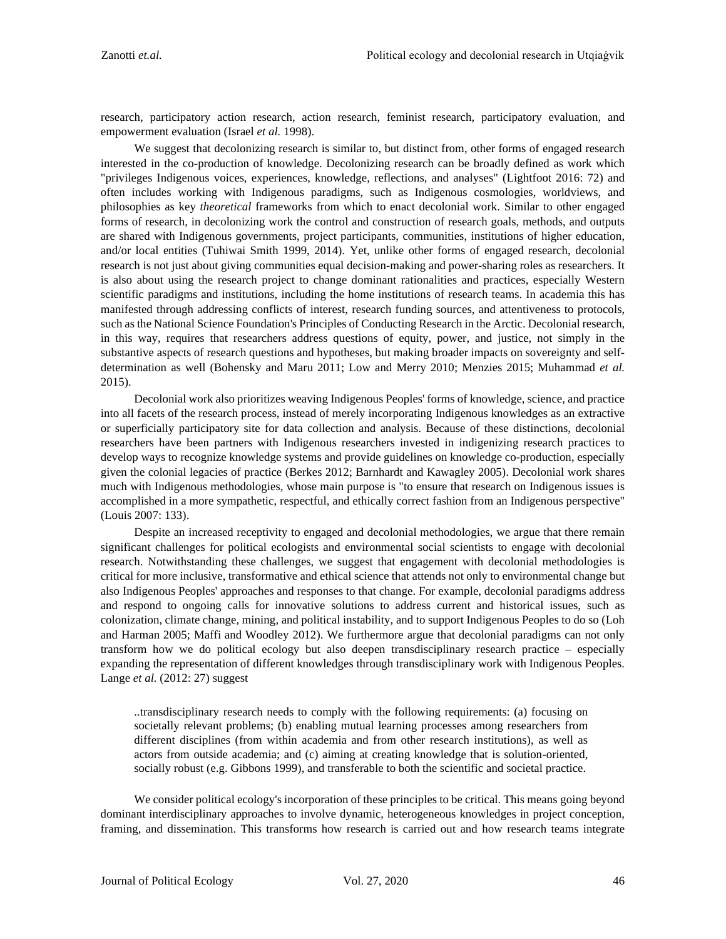research, participatory action research, action research, feminist research, participatory evaluation, and empowerment evaluation (Israel *et al.* 1998).

We suggest that decolonizing research is similar to, but distinct from, other forms of engaged research interested in the co-production of knowledge. Decolonizing research can be broadly defined as work which "privileges Indigenous voices, experiences, knowledge, reflections, and analyses" (Lightfoot 2016: 72) and often includes working with Indigenous paradigms, such as Indigenous cosmologies, worldviews, and philosophies as key *theoretical* frameworks from which to enact decolonial work. Similar to other engaged forms of research, in decolonizing work the control and construction of research goals, methods, and outputs are shared with Indigenous governments, project participants, communities, institutions of higher education, and/or local entities (Tuhiwai Smith 1999, 2014). Yet, unlike other forms of engaged research, decolonial research is not just about giving communities equal decision-making and power-sharing roles as researchers. It is also about using the research project to change dominant rationalities and practices, especially Western scientific paradigms and institutions, including the home institutions of research teams. In academia this has manifested through addressing conflicts of interest, research funding sources, and attentiveness to protocols, such as the National Science Foundation's Principles of Conducting Research in the Arctic. Decolonial research, in this way, requires that researchers address questions of equity, power, and justice, not simply in the substantive aspects of research questions and hypotheses, but making broader impacts on sovereignty and selfdetermination as well (Bohensky and Maru 2011; Low and Merry 2010; Menzies 2015; Muhammad *et al.* 2015).

Decolonial work also prioritizes weaving Indigenous Peoples' forms of knowledge, science, and practice into all facets of the research process, instead of merely incorporating Indigenous knowledges as an extractive or superficially participatory site for data collection and analysis. Because of these distinctions, decolonial researchers have been partners with Indigenous researchers invested in indigenizing research practices to develop ways to recognize knowledge systems and provide guidelines on knowledge co-production, especially given the colonial legacies of practice (Berkes 2012; Barnhardt and Kawagley 2005). Decolonial work shares much with Indigenous methodologies, whose main purpose is "to ensure that research on Indigenous issues is accomplished in a more sympathetic, respectful, and ethically correct fashion from an Indigenous perspective" (Louis 2007: 133).

Despite an increased receptivity to engaged and decolonial methodologies, we argue that there remain significant challenges for political ecologists and environmental social scientists to engage with decolonial research. Notwithstanding these challenges, we suggest that engagement with decolonial methodologies is critical for more inclusive, transformative and ethical science that attends not only to environmental change but also Indigenous Peoples' approaches and responses to that change. For example, decolonial paradigms address and respond to ongoing calls for innovative solutions to address current and historical issues, such as colonization, climate change, mining, and political instability, and to support Indigenous Peoples to do so (Loh and Harman 2005; Maffi and Woodley 2012). We furthermore argue that decolonial paradigms can not only transform how we do political ecology but also deepen transdisciplinary research practice *–* especially expanding the representation of different knowledges through transdisciplinary work with Indigenous Peoples. Lange *et al.* (2012: 27) suggest

..transdisciplinary research needs to comply with the following requirements: (a) focusing on societally relevant problems; (b) enabling mutual learning processes among researchers from different disciplines (from within academia and from other research institutions), as well as actors from outside academia; and (c) aiming at creating knowledge that is solution-oriented, socially robust (e.g. Gibbons 1999), and transferable to both the scientific and societal practice.

We consider political ecology's incorporation of these principles to be critical. This means going beyond dominant interdisciplinary approaches to involve dynamic, heterogeneous knowledges in project conception, framing, and dissemination. This transforms how research is carried out and how research teams integrate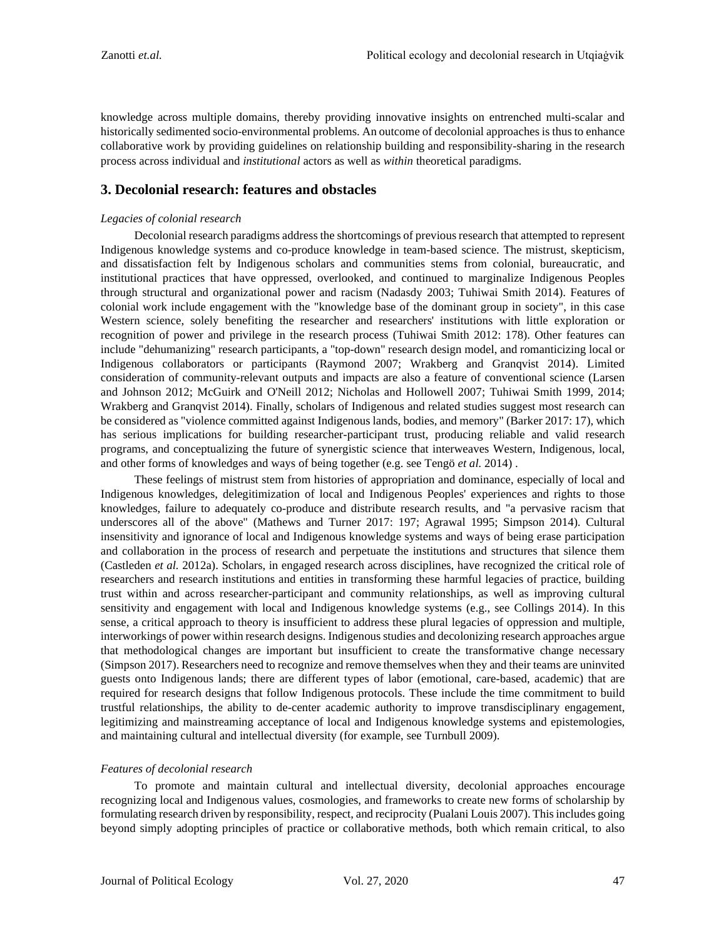knowledge across multiple domains, thereby providing innovative insights on entrenched multi-scalar and historically sedimented socio-environmental problems. An outcome of decolonial approaches is thus to enhance collaborative work by providing guidelines on relationship building and responsibility-sharing in the research process across individual and *institutional* actors as well as *within* theoretical paradigms.

# **3. Decolonial research: features and obstacles**

#### *Legacies of colonial research*

Decolonial research paradigms address the shortcomings of previous research that attempted to represent Indigenous knowledge systems and co-produce knowledge in team-based science. The mistrust, skepticism, and dissatisfaction felt by Indigenous scholars and communities stems from colonial, bureaucratic, and institutional practices that have oppressed, overlooked, and continued to marginalize Indigenous Peoples through structural and organizational power and racism (Nadasdy 2003; Tuhiwai Smith 2014). Features of colonial work include engagement with the "knowledge base of the dominant group in society", in this case Western science, solely benefiting the researcher and researchers' institutions with little exploration or recognition of power and privilege in the research process (Tuhiwai Smith 2012: 178). Other features can include "dehumanizing" research participants, a "top-down" research design model, and romanticizing local or Indigenous collaborators or participants (Raymond 2007; Wrakberg and Granqvist 2014). Limited consideration of community-relevant outputs and impacts are also a feature of conventional science (Larsen and Johnson 2012; McGuirk and O'Neill 2012; Nicholas and Hollowell 2007; Tuhiwai Smith 1999, 2014; Wrakberg and Granqvist 2014). Finally, scholars of Indigenous and related studies suggest most research can be considered as "violence committed against Indigenous lands, bodies, and memory" (Barker 2017: 17), which has serious implications for building researcher-participant trust, producing reliable and valid research programs, and conceptualizing the future of synergistic science that interweaves Western, Indigenous, local, and other forms of knowledges and ways of being together (e.g. see Tengö *et al.* 2014) .

These feelings of mistrust stem from histories of appropriation and dominance, especially of local and Indigenous knowledges, delegitimization of local and Indigenous Peoples' experiences and rights to those knowledges, failure to adequately co-produce and distribute research results, and "a pervasive racism that underscores all of the above" (Mathews and Turner 2017: 197; Agrawal 1995; Simpson 2014). Cultural insensitivity and ignorance of local and Indigenous knowledge systems and ways of being erase participation and collaboration in the process of research and perpetuate the institutions and structures that silence them (Castleden *et al.* 2012a). Scholars, in engaged research across disciplines, have recognized the critical role of researchers and research institutions and entities in transforming these harmful legacies of practice, building trust within and across researcher-participant and community relationships, as well as improving cultural sensitivity and engagement with local and Indigenous knowledge systems (e.g., see Collings 2014). In this sense, a critical approach to theory is insufficient to address these plural legacies of oppression and multiple, interworkings of power within research designs. Indigenous studies and decolonizing research approaches argue that methodological changes are important but insufficient to create the transformative change necessary (Simpson 2017). Researchers need to recognize and remove themselves when they and their teams are uninvited guests onto Indigenous lands; there are different types of labor (emotional, care-based, academic) that are required for research designs that follow Indigenous protocols. These include the time commitment to build trustful relationships, the ability to de-center academic authority to improve transdisciplinary engagement, legitimizing and mainstreaming acceptance of local and Indigenous knowledge systems and epistemologies, and maintaining cultural and intellectual diversity (for example, see Turnbull 2009).

#### *Features of decolonial research*

To promote and maintain cultural and intellectual diversity, decolonial approaches encourage recognizing local and Indigenous values, cosmologies, and frameworks to create new forms of scholarship by formulating research driven by responsibility, respect, and reciprocity (Pualani Louis 2007). Thisincludes going beyond simply adopting principles of practice or collaborative methods, both which remain critical, to also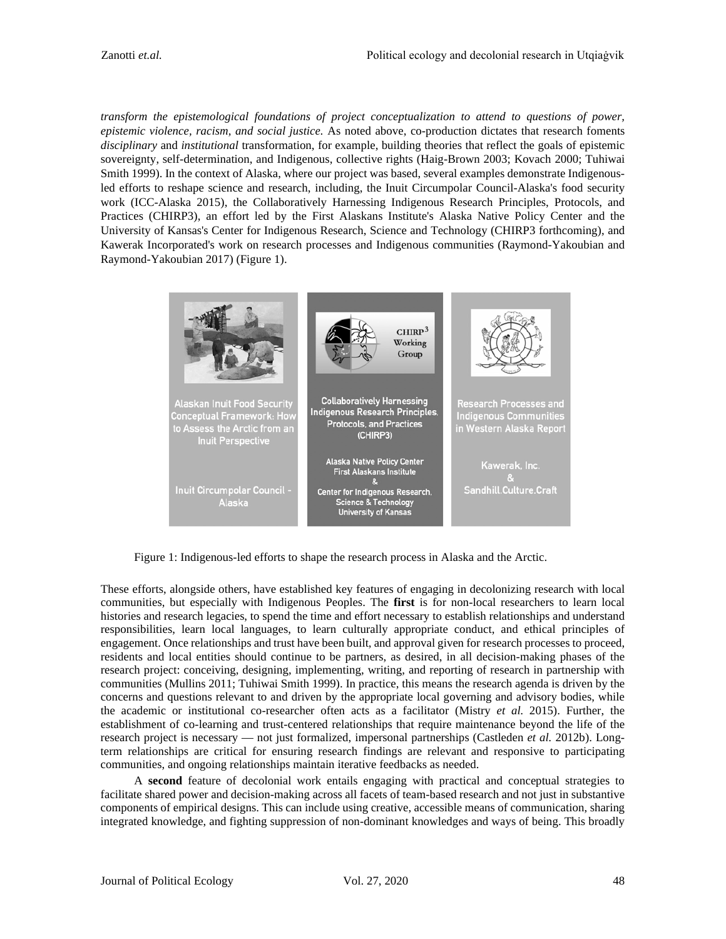*transform the epistemological foundations of project conceptualization to attend to questions of power, epistemic violence, racism, and social justice.* As noted above, co-production dictates that research foments *disciplinary* and *institutional* transformation, for example, building theories that reflect the goals of epistemic sovereignty, self-determination, and Indigenous, collective rights (Haig-Brown 2003; Kovach 2000; Tuhiwai Smith 1999). In the context of Alaska, where our project was based, several examples demonstrate Indigenousled efforts to reshape science and research, including, the Inuit Circumpolar Council-Alaska's food security work (ICC-Alaska 2015), the Collaboratively Harnessing Indigenous Research Principles, Protocols, and Practices (CHIRP3), an effort led by the First Alaskans Institute's Alaska Native Policy Center and the University of Kansas's Center for Indigenous Research, Science and Technology (CHIRP3 forthcoming), and Kawerak Incorporated's work on research processes and Indigenous communities (Raymond-Yakoubian and Raymond-Yakoubian 2017) (Figure 1).



Figure 1: Indigenous-led efforts to shape the research process in Alaska and the Arctic.

These efforts, alongside others, have established key features of engaging in decolonizing research with local communities, but especially with Indigenous Peoples. The **first** is for non-local researchers to learn local histories and research legacies, to spend the time and effort necessary to establish relationships and understand responsibilities, learn local languages, to learn culturally appropriate conduct, and ethical principles of engagement. Once relationships and trust have been built, and approval given for research processes to proceed, residents and local entities should continue to be partners, as desired, in all decision-making phases of the research project: conceiving, designing, implementing, writing, and reporting of research in partnership with communities (Mullins 2011; Tuhiwai Smith 1999). In practice, this means the research agenda is driven by the concerns and questions relevant to and driven by the appropriate local governing and advisory bodies, while the academic or institutional co-researcher often acts as a facilitator (Mistry *et al.* 2015). Further, the establishment of co-learning and trust-centered relationships that require maintenance beyond the life of the research project is necessary — not just formalized, impersonal partnerships (Castleden *et al.* 2012b). Longterm relationships are critical for ensuring research findings are relevant and responsive to participating communities, and ongoing relationships maintain iterative feedbacks as needed.

A **second** feature of decolonial work entails engaging with practical and conceptual strategies to facilitate shared power and decision-making across all facets of team-based research and not just in substantive components of empirical designs. This can include using creative, accessible means of communication, sharing integrated knowledge, and fighting suppression of non-dominant knowledges and ways of being. This broadly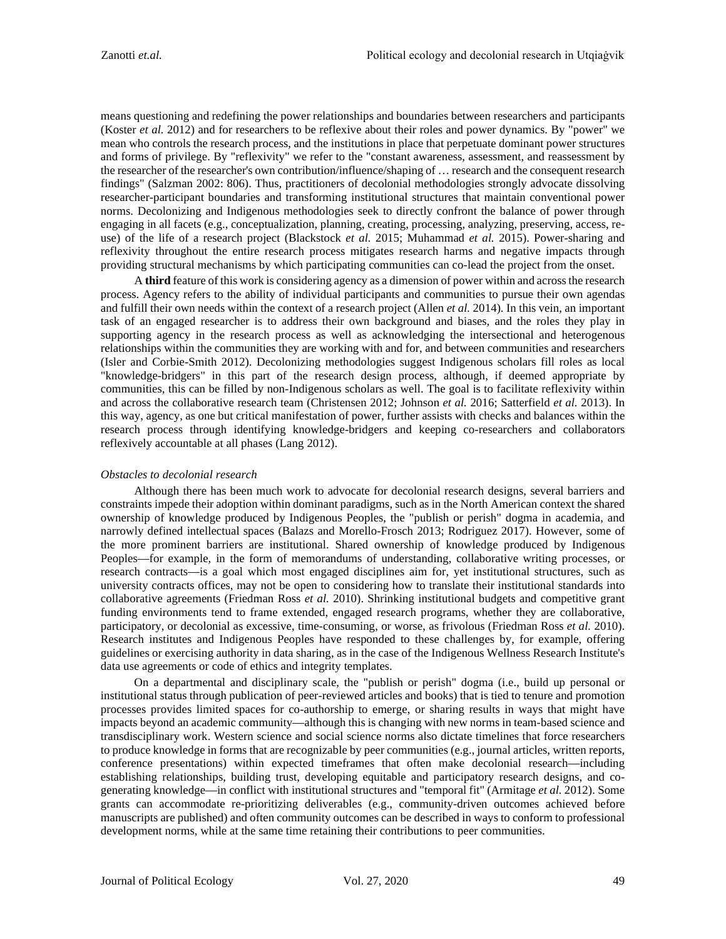means questioning and redefining the power relationships and boundaries between researchers and participants (Koster *et al.* 2012) and for researchers to be reflexive about their roles and power dynamics. By "power" we mean who controls the research process, and the institutions in place that perpetuate dominant power structures and forms of privilege. By "reflexivity" we refer to the "constant awareness, assessment, and reassessment by the researcher of the researcher's own contribution/influence/shaping of … research and the consequent research findings" (Salzman 2002: 806). Thus, practitioners of decolonial methodologies strongly advocate dissolving researcher-participant boundaries and transforming institutional structures that maintain conventional power norms. Decolonizing and Indigenous methodologies seek to directly confront the balance of power through engaging in all facets (e.g., conceptualization, planning, creating, processing, analyzing, preserving, access, reuse) of the life of a research project (Blackstock *et al.* 2015; Muhammad *et al.* 2015). Power-sharing and reflexivity throughout the entire research process mitigates research harms and negative impacts through providing structural mechanisms by which participating communities can co-lead the project from the onset.

A **third** feature of this work is considering agency as a dimension of power within and across the research process. Agency refers to the ability of individual participants and communities to pursue their own agendas and fulfill their own needs within the context of a research project (Allen *et al.* 2014). In this vein, an important task of an engaged researcher is to address their own background and biases, and the roles they play in supporting agency in the research process as well as acknowledging the intersectional and heterogenous relationships within the communities they are working with and for, and between communities and researchers (Isler and Corbie-Smith 2012). Decolonizing methodologies suggest Indigenous scholars fill roles as local "knowledge-bridgers" in this part of the research design process, although, if deemed appropriate by communities, this can be filled by non-Indigenous scholars as well. The goal is to facilitate reflexivity within and across the collaborative research team (Christensen 2012; Johnson *et al.* 2016; Satterfield *et al.* 2013). In this way, agency, as one but critical manifestation of power, further assists with checks and balances within the research process through identifying knowledge-bridgers and keeping co-researchers and collaborators reflexively accountable at all phases (Lang 2012).

#### *Obstacles to decolonial research*

Although there has been much work to advocate for decolonial research designs, several barriers and constraints impede their adoption within dominant paradigms, such as in the North American context the shared ownership of knowledge produced by Indigenous Peoples, the "publish or perish" dogma in academia, and narrowly defined intellectual spaces (Balazs and Morello-Frosch 2013; Rodriguez 2017). However, some of the more prominent barriers are institutional. Shared ownership of knowledge produced by Indigenous Peoples—for example, in the form of memorandums of understanding, collaborative writing processes, or research contracts—is a goal which most engaged disciplines aim for, yet institutional structures, such as university contracts offices, may not be open to considering how to translate their institutional standards into collaborative agreements (Friedman Ross *et al.* 2010). Shrinking institutional budgets and competitive grant funding environments tend to frame extended, engaged research programs, whether they are collaborative, participatory, or decolonial as excessive, time-consuming, or worse, as frivolous (Friedman Ross *et al.* 2010). Research institutes and Indigenous Peoples have responded to these challenges by, for example, offering guidelines or exercising authority in data sharing, as in the case of the Indigenous Wellness Research Institute's data use agreements or code of ethics and integrity templates.

On a departmental and disciplinary scale, the "publish or perish" dogma (i.e., build up personal or institutional status through publication of peer-reviewed articles and books) that is tied to tenure and promotion processes provides limited spaces for co-authorship to emerge, or sharing results in ways that might have impacts beyond an academic community—although this is changing with new norms in team-based science and transdisciplinary work. Western science and social science norms also dictate timelines that force researchers to produce knowledge in forms that are recognizable by peer communities (e.g., journal articles, written reports, conference presentations) within expected timeframes that often make decolonial research—including establishing relationships, building trust, developing equitable and participatory research designs, and cogenerating knowledge—in conflict with institutional structures and "temporal fit" (Armitage *et al.* 2012). Some grants can accommodate re-prioritizing deliverables (e.g., community-driven outcomes achieved before manuscripts are published) and often community outcomes can be described in ways to conform to professional development norms, while at the same time retaining their contributions to peer communities.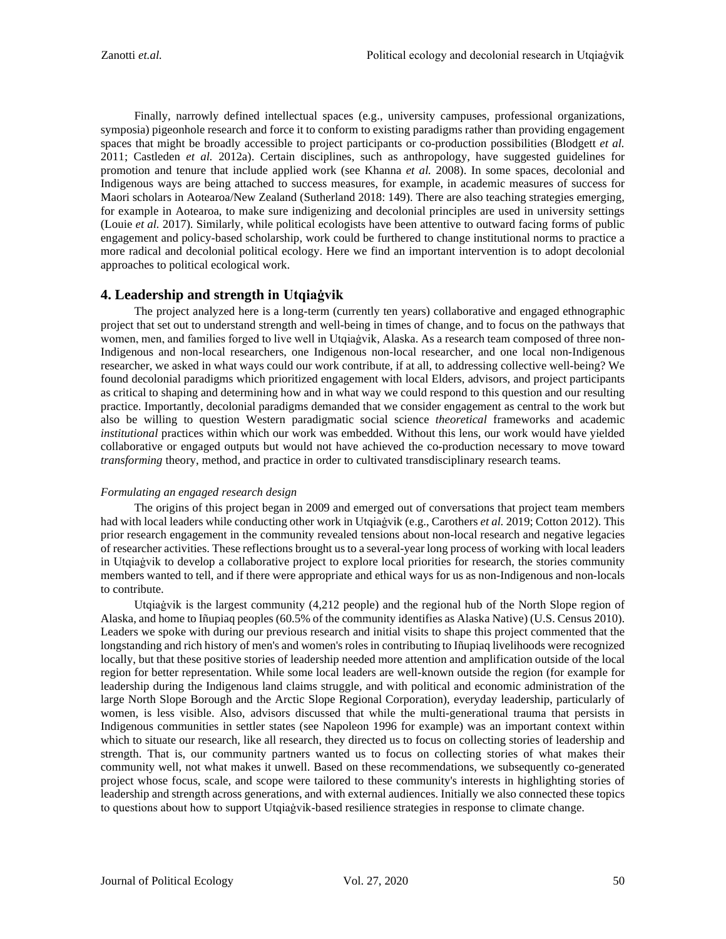Finally, narrowly defined intellectual spaces (e.g., university campuses, professional organizations, symposia) pigeonhole research and force it to conform to existing paradigms rather than providing engagement spaces that might be broadly accessible to project participants or co-production possibilities (Blodgett *et al.* 2011; Castleden *et al.* 2012a). Certain disciplines, such as anthropology, have suggested guidelines for promotion and tenure that include applied work (see Khanna *et al.* 2008). In some spaces, decolonial and Indigenous ways are being attached to success measures, for example, in academic measures of success for Maori scholars in Aotearoa/New Zealand (Sutherland 2018: 149). There are also teaching strategies emerging, for example in Aotearoa, to make sure indigenizing and decolonial principles are used in university settings (Louie *et al.* 2017). Similarly, while political ecologists have been attentive to outward facing forms of public engagement and policy-based scholarship, work could be furthered to change institutional norms to practice a more radical and decolonial political ecology. Here we find an important intervention is to adopt decolonial approaches to political ecological work.

### **4. Leadership and strength in Utqiaġvik**

The project analyzed here is a long-term (currently ten years) collaborative and engaged ethnographic project that set out to understand strength and well-being in times of change, and to focus on the pathways that women, men, and families forged to live well in Utqiaġvik, Alaska. As a research team composed of three non-Indigenous and non-local researchers, one Indigenous non-local researcher, and one local non-Indigenous researcher, we asked in what ways could our work contribute, if at all, to addressing collective well-being? We found decolonial paradigms which prioritized engagement with local Elders, advisors, and project participants as critical to shaping and determining how and in what way we could respond to this question and our resulting practice. Importantly, decolonial paradigms demanded that we consider engagement as central to the work but also be willing to question Western paradigmatic social science *theoretical* frameworks and academic *institutional* practices within which our work was embedded. Without this lens, our work would have yielded collaborative or engaged outputs but would not have achieved the co-production necessary to move toward *transforming* theory, method, and practice in order to cultivated transdisciplinary research teams.

#### *Formulating an engaged research design*

The origins of this project began in 2009 and emerged out of conversations that project team members had with local leaders while conducting other work in Utqiaġvik (e.g., Carothers *et al.* 2019; Cotton 2012). This prior research engagement in the community revealed tensions about non-local research and negative legacies of researcher activities. These reflections brought us to a several-year long process of working with local leaders in Utqiaġvik to develop a collaborative project to explore local priorities for research, the stories community members wanted to tell, and if there were appropriate and ethical ways for us as non-Indigenous and non-locals to contribute.

Utqiaġvik is the largest community (4,212 people) and the regional hub of the North Slope region of Alaska, and home to Iñupiaq peoples (60.5% of the community identifies as Alaska Native) (U.S. Census 2010). Leaders we spoke with during our previous research and initial visits to shape this project commented that the longstanding and rich history of men's and women's roles in contributing to Iñupiaq livelihoods were recognized locally, but that these positive stories of leadership needed more attention and amplification outside of the local region for better representation. While some local leaders are well-known outside the region (for example for leadership during the Indigenous land claims struggle, and with political and economic administration of the large North Slope Borough and the Arctic Slope Regional Corporation), everyday leadership, particularly of women, is less visible. Also, advisors discussed that while the multi-generational trauma that persists in Indigenous communities in settler states (see Napoleon 1996 for example) was an important context within which to situate our research, like all research, they directed us to focus on collecting stories of leadership and strength. That is, our community partners wanted us to focus on collecting stories of what makes their community well, not what makes it unwell. Based on these recommendations, we subsequently co-generated project whose focus, scale, and scope were tailored to these community's interests in highlighting stories of leadership and strength across generations, and with external audiences. Initially we also connected these topics to questions about how to support Utqiaġvik-based resilience strategies in response to climate change.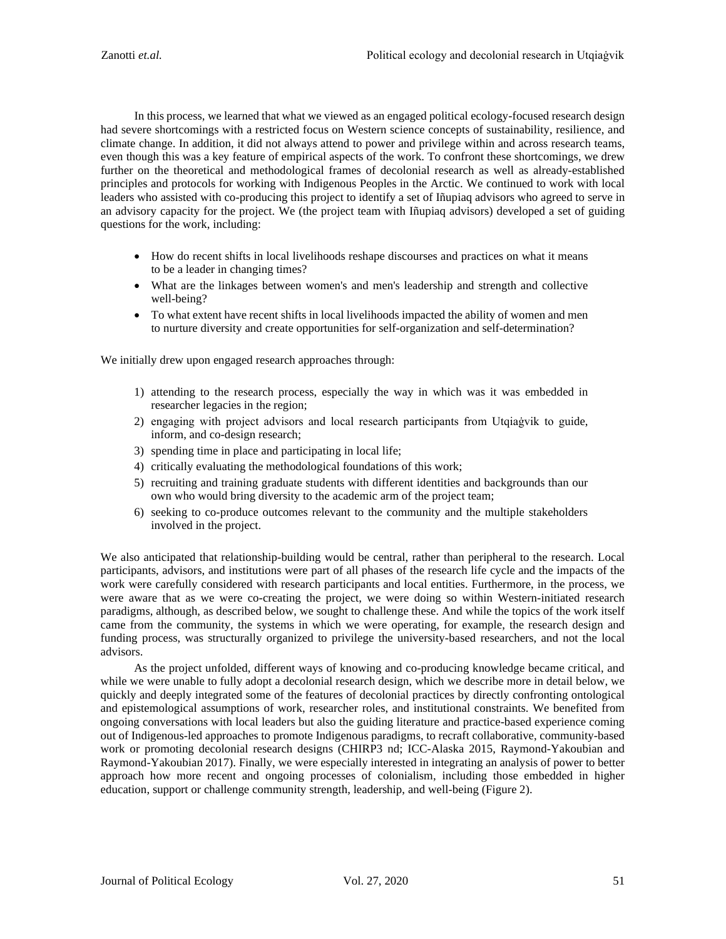In this process, we learned that what we viewed as an engaged political ecology-focused research design had severe shortcomings with a restricted focus on Western science concepts of sustainability, resilience, and climate change. In addition, it did not always attend to power and privilege within and across research teams, even though this was a key feature of empirical aspects of the work. To confront these shortcomings, we drew further on the theoretical and methodological frames of decolonial research as well as already-established principles and protocols for working with Indigenous Peoples in the Arctic. We continued to work with local leaders who assisted with co-producing this project to identify a set of Iñupiaq advisors who agreed to serve in an advisory capacity for the project. We (the project team with Iñupiaq advisors) developed a set of guiding questions for the work, including:

- How do recent shifts in local livelihoods reshape discourses and practices on what it means to be a leader in changing times?
- What are the linkages between women's and men's leadership and strength and collective well-being?
- To what extent have recent shifts in local livelihoods impacted the ability of women and men to nurture diversity and create opportunities for self-organization and self-determination?

We initially drew upon engaged research approaches through:

- 1) attending to the research process, especially the way in which was it was embedded in researcher legacies in the region;
- 2) engaging with project advisors and local research participants from Utqiaġvik to guide, inform, and co-design research;
- 3) spending time in place and participating in local life;
- 4) critically evaluating the methodological foundations of this work;
- 5) recruiting and training graduate students with different identities and backgrounds than our own who would bring diversity to the academic arm of the project team;
- 6) seeking to co-produce outcomes relevant to the community and the multiple stakeholders involved in the project.

We also anticipated that relationship-building would be central, rather than peripheral to the research. Local participants, advisors, and institutions were part of all phases of the research life cycle and the impacts of the work were carefully considered with research participants and local entities. Furthermore, in the process, we were aware that as we were co-creating the project, we were doing so within Western-initiated research paradigms, although, as described below, we sought to challenge these. And while the topics of the work itself came from the community, the systems in which we were operating, for example, the research design and funding process, was structurally organized to privilege the university-based researchers, and not the local advisors.

As the project unfolded, different ways of knowing and co-producing knowledge became critical, and while we were unable to fully adopt a decolonial research design, which we describe more in detail below, we quickly and deeply integrated some of the features of decolonial practices by directly confronting ontological and epistemological assumptions of work, researcher roles, and institutional constraints. We benefited from ongoing conversations with local leaders but also the guiding literature and practice-based experience coming out of Indigenous-led approaches to promote Indigenous paradigms, to recraft collaborative, community-based work or promoting decolonial research designs (CHIRP3 nd; ICC-Alaska 2015, Raymond-Yakoubian and Raymond-Yakoubian 2017). Finally, we were especially interested in integrating an analysis of power to better approach how more recent and ongoing processes of colonialism, including those embedded in higher education, support or challenge community strength, leadership, and well-being (Figure 2).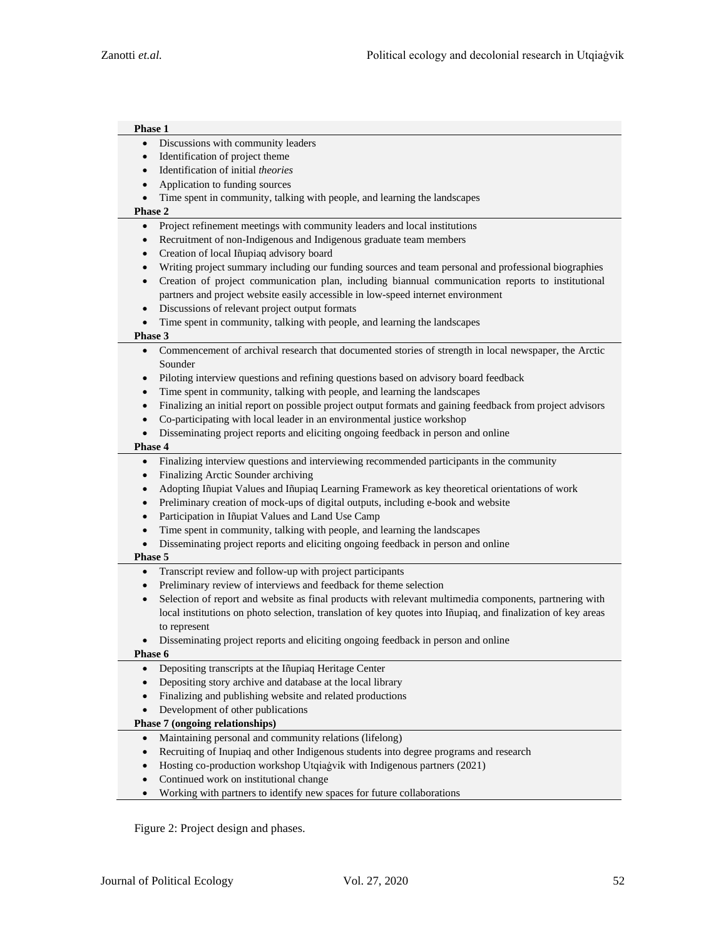| Phase 1                         |                                                                                                              |
|---------------------------------|--------------------------------------------------------------------------------------------------------------|
| $\bullet$                       | Discussions with community leaders                                                                           |
| $\bullet$                       | Identification of project theme                                                                              |
| $\bullet$                       | Identification of initial theories                                                                           |
| $\bullet$                       | Application to funding sources                                                                               |
| $\bullet$                       | Time spent in community, talking with people, and learning the landscapes                                    |
| Phase 2                         |                                                                                                              |
| $\bullet$                       | Project refinement meetings with community leaders and local institutions                                    |
| $\bullet$                       | Recruitment of non-Indigenous and Indigenous graduate team members                                           |
| $\bullet$                       | Creation of local Iñupiaq advisory board                                                                     |
| ٠                               | Writing project summary including our funding sources and team personal and professional biographies         |
| $\bullet$                       | Creation of project communication plan, including biannual communication reports to institutional            |
|                                 | partners and project website easily accessible in low-speed internet environment                             |
| $\bullet$                       | Discussions of relevant project output formats                                                               |
| $\bullet$                       | Time spent in community, talking with people, and learning the landscapes                                    |
| Phase 3                         |                                                                                                              |
| $\bullet$                       | Commencement of archival research that documented stories of strength in local newspaper, the Arctic         |
|                                 | Sounder                                                                                                      |
| ٠                               | Piloting interview questions and refining questions based on advisory board feedback                         |
| $\bullet$                       | Time spent in community, talking with people, and learning the landscapes                                    |
| $\bullet$                       | Finalizing an initial report on possible project output formats and gaining feedback from project advisors   |
| $\bullet$                       | Co-participating with local leader in an environmental justice workshop                                      |
| $\bullet$                       | Disseminating project reports and eliciting ongoing feedback in person and online                            |
| Phase 4                         |                                                                                                              |
| $\bullet$                       | Finalizing interview questions and interviewing recommended participants in the community                    |
| $\bullet$                       | Finalizing Arctic Sounder archiving                                                                          |
| $\bullet$                       | Adopting Iñupiat Values and Iñupiaq Learning Framework as key theoretical orientations of work               |
| $\bullet$                       | Preliminary creation of mock-ups of digital outputs, including e-book and website                            |
| $\bullet$                       | Participation in Iñupiat Values and Land Use Camp                                                            |
| $\bullet$                       | Time spent in community, talking with people, and learning the landscapes                                    |
| $\bullet$                       | Disseminating project reports and eliciting ongoing feedback in person and online                            |
| Phase 5                         |                                                                                                              |
| $\bullet$                       | Transcript review and follow-up with project participants                                                    |
| ٠                               | Preliminary review of interviews and feedback for theme selection                                            |
| $\bullet$                       | Selection of report and website as final products with relevant multimedia components, partnering with       |
|                                 | local institutions on photo selection, translation of key quotes into Iñupiaq, and finalization of key areas |
|                                 | to represent                                                                                                 |
|                                 | Disseminating project reports and eliciting ongoing feedback in person and online                            |
| Phase 6                         |                                                                                                              |
| $\bullet$                       | Depositing transcripts at the Iñupiaq Heritage Center                                                        |
| $\bullet$                       | Depositing story archive and database at the local library                                                   |
| $\bullet$                       | Finalizing and publishing website and related productions                                                    |
| $\bullet$                       | Development of other publications                                                                            |
| Phase 7 (ongoing relationships) |                                                                                                              |
| $\bullet$                       | Maintaining personal and community relations (lifelong)                                                      |
| $\bullet$                       | Recruiting of Inupiaq and other Indigenous students into degree programs and research                        |
| $\bullet$                       | Hosting co-production workshop Utqiagvik with Indigenous partners (2021)                                     |
| $\bullet$                       | Continued work on institutional change                                                                       |
| $\bullet$                       | Working with partners to identify new spaces for future collaborations                                       |

Figure 2: Project design and phases.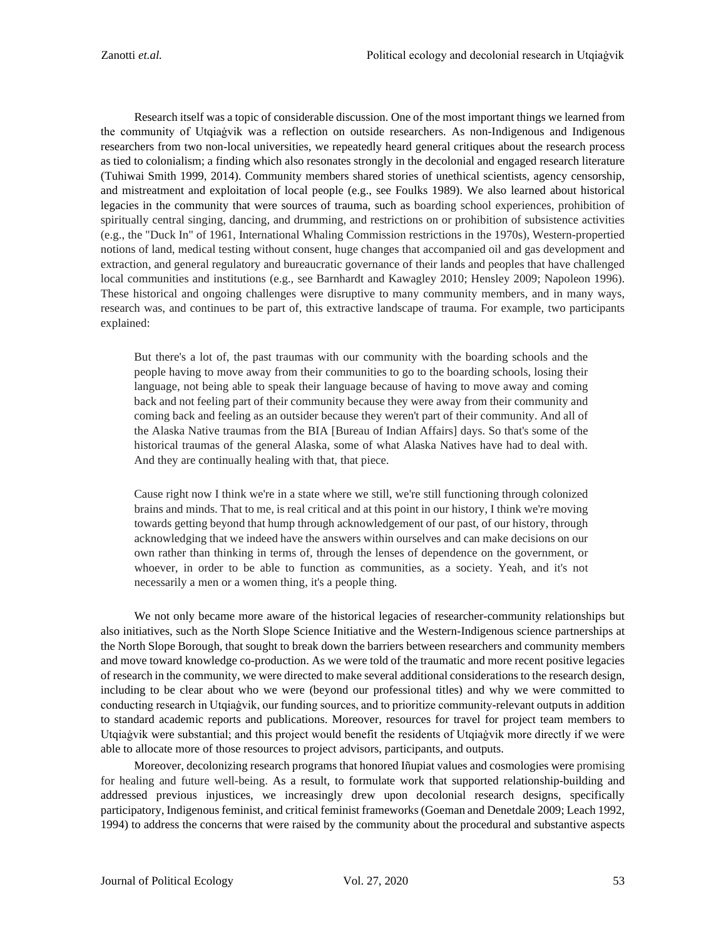Research itself was a topic of considerable discussion. One of the most important things we learned from the community of Utqiaġvik was a reflection on outside researchers. As non-Indigenous and Indigenous researchers from two non-local universities, we repeatedly heard general critiques about the research process as tied to colonialism; a finding which also resonates strongly in the decolonial and engaged research literature (Tuhiwai Smith 1999, 2014). Community members shared stories of unethical scientists, agency censorship, and mistreatment and exploitation of local people (e.g., see Foulks 1989). We also learned about historical legacies in the community that were sources of trauma, such as boarding school experiences, prohibition of spiritually central singing, dancing, and drumming, and restrictions on or prohibition of subsistence activities (e.g., the "Duck In" of 1961, International Whaling Commission restrictions in the 1970s), Western-propertied notions of land, medical testing without consent, huge changes that accompanied oil and gas development and extraction, and general regulatory and bureaucratic governance of their lands and peoples that have challenged local communities and institutions (e.g., see Barnhardt and Kawagley 2010; Hensley 2009; Napoleon 1996). These historical and ongoing challenges were disruptive to many community members, and in many ways, research was, and continues to be part of, this extractive landscape of trauma. For example, two participants explained:

But there's a lot of, the past traumas with our community with the boarding schools and the people having to move away from their communities to go to the boarding schools, losing their language, not being able to speak their language because of having to move away and coming back and not feeling part of their community because they were away from their community and coming back and feeling as an outsider because they weren't part of their community. And all of the Alaska Native traumas from the BIA [Bureau of Indian Affairs] days. So that's some of the historical traumas of the general Alaska, some of what Alaska Natives have had to deal with. And they are continually healing with that, that piece.

Cause right now I think we're in a state where we still, we're still functioning through colonized brains and minds. That to me, is real critical and at this point in our history, I think we're moving towards getting beyond that hump through acknowledgement of our past, of our history, through acknowledging that we indeed have the answers within ourselves and can make decisions on our own rather than thinking in terms of, through the lenses of dependence on the government, or whoever, in order to be able to function as communities, as a society. Yeah, and it's not necessarily a men or a women thing, it's a people thing.

We not only became more aware of the historical legacies of researcher-community relationships but also initiatives, such as the North Slope Science Initiative and the Western-Indigenous science partnerships at the North Slope Borough, that sought to break down the barriers between researchers and community members and move toward knowledge co-production. As we were told of the traumatic and more recent positive legacies of research in the community, we were directed to make several additional considerations to the research design, including to be clear about who we were (beyond our professional titles) and why we were committed to conducting research in Utqiaġvik, our funding sources, and to prioritize community-relevant outputs in addition to standard academic reports and publications. Moreover, resources for travel for project team members to Utqiaġvik were substantial; and this project would benefit the residents of Utqiaġvik more directly if we were able to allocate more of those resources to project advisors, participants, and outputs.

Moreover, decolonizing research programs that honored Iñupiat values and cosmologies were promising for healing and future well-being. As a result, to formulate work that supported relationship-building and addressed previous injustices, we increasingly drew upon decolonial research designs, specifically participatory, Indigenous feminist, and critical feminist frameworks (Goeman and Denetdale 2009; Leach 1992, 1994) to address the concerns that were raised by the community about the procedural and substantive aspects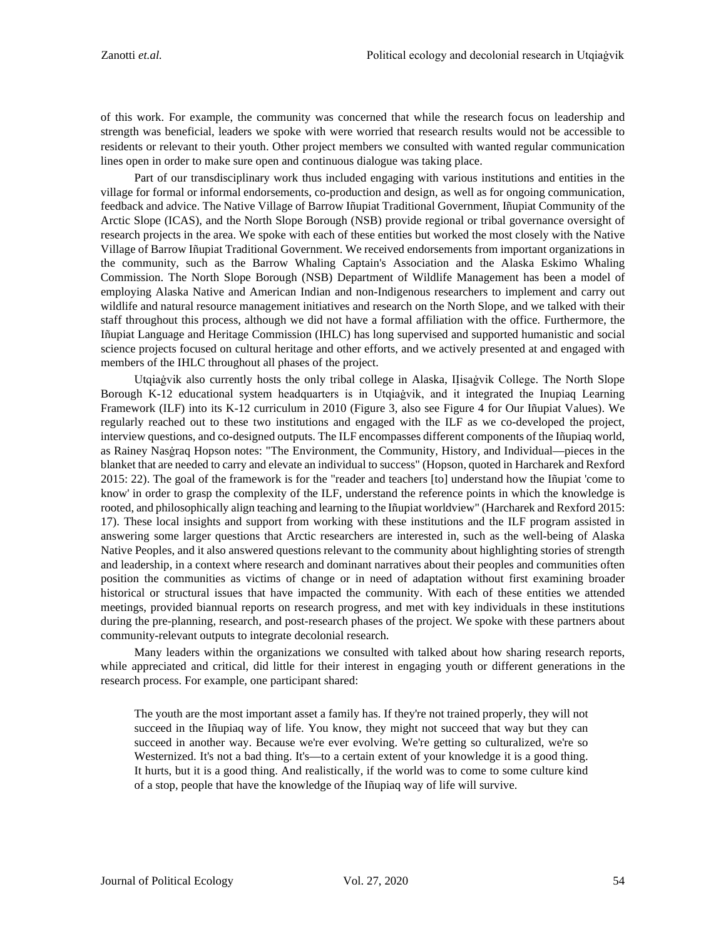of this work. For example, the community was concerned that while the research focus on leadership and strength was beneficial, leaders we spoke with were worried that research results would not be accessible to residents or relevant to their youth. Other project members we consulted with wanted regular communication lines open in order to make sure open and continuous dialogue was taking place.

Part of our transdisciplinary work thus included engaging with various institutions and entities in the village for formal or informal endorsements, co-production and design, as well as for ongoing communication, feedback and advice. The Native Village of Barrow Iñupiat Traditional Government, Iñupiat Community of the Arctic Slope (ICAS), and the North Slope Borough (NSB) provide regional or tribal governance oversight of research projects in the area. We spoke with each of these entities but worked the most closely with the Native Village of Barrow Iñupiat Traditional Government. We received endorsements from important organizations in the community, such as the Barrow Whaling Captain's Association and the Alaska Eskimo Whaling Commission. The North Slope Borough (NSB) Department of Wildlife Management has been a model of employing Alaska Native and American Indian and non-Indigenous researchers to implement and carry out wildlife and natural resource management initiatives and research on the North Slope, and we talked with their staff throughout this process, although we did not have a formal affiliation with the office. Furthermore, the Iñupiat Language and Heritage Commission (IHLC) has long supervised and supported humanistic and social science projects focused on cultural heritage and other efforts, and we actively presented at and engaged with members of the IHLC throughout all phases of the project.

Utgiaġvik also currently hosts the only tribal college in Alaska, IIisaġvik College. The North Slope Borough K-12 educational system headquarters is in Utqiaġvik, and it integrated the Inupiaq Learning Framework (ILF) into its K-12 curriculum in 2010 (Figure 3, also see Figure 4 for Our Iñupiat Values). We regularly reached out to these two institutions and engaged with the ILF as we co-developed the project, interview questions, and co-designed outputs. The ILF encompasses different components of the Iñupiaq world, as Rainey Nasġraq Hopson notes: "The Environment, the Community, History, and Individual—pieces in the blanket that are needed to carry and elevate an individual to success" (Hopson, quoted in Harcharek and Rexford 2015: 22). The goal of the framework is for the "reader and teachers [to] understand how the Iñupiat 'come to know' in order to grasp the complexity of the ILF, understand the reference points in which the knowledge is rooted, and philosophically align teaching and learning to the Iñupiat worldview" (Harcharek and Rexford 2015: 17). These local insights and support from working with these institutions and the ILF program assisted in answering some larger questions that Arctic researchers are interested in, such as the well-being of Alaska Native Peoples, and it also answered questions relevant to the community about highlighting stories of strength and leadership, in a context where research and dominant narratives about their peoples and communities often position the communities as victims of change or in need of adaptation without first examining broader historical or structural issues that have impacted the community. With each of these entities we attended meetings, provided biannual reports on research progress, and met with key individuals in these institutions during the pre-planning, research, and post-research phases of the project. We spoke with these partners about community-relevant outputs to integrate decolonial research.

Many leaders within the organizations we consulted with talked about how sharing research reports, while appreciated and critical, did little for their interest in engaging youth or different generations in the research process. For example, one participant shared:

The youth are the most important asset a family has. If they're not trained properly, they will not succeed in the Iñupiaq way of life. You know, they might not succeed that way but they can succeed in another way. Because we're ever evolving. We're getting so culturalized, we're so Westernized. It's not a bad thing. It's—to a certain extent of your knowledge it is a good thing. It hurts, but it is a good thing. And realistically, if the world was to come to some culture kind of a stop, people that have the knowledge of the Iñupiaq way of life will survive.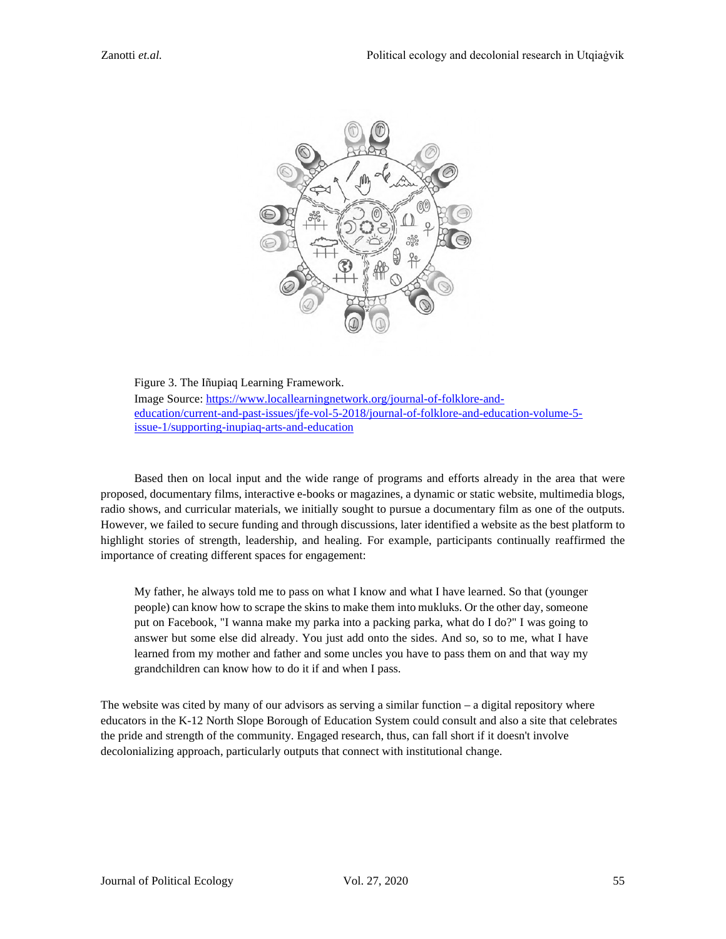

Figure 3. The Iñupiaq Learning Framework. Image Source: [https://www.locallearningnetwork.org/journal-of-folklore-and](https://www.locallearningnetwork.org/journal-of-folklore-and-education/current-and-past-issues/jfe-vol-5-2018/journal-of-folklore-and-education-volume-5-issue-1/supporting-inupiaq-arts-and-education)[education/current-and-past-issues/jfe-vol-5-2018/journal-of-folklore-and-education-volume-5](https://www.locallearningnetwork.org/journal-of-folklore-and-education/current-and-past-issues/jfe-vol-5-2018/journal-of-folklore-and-education-volume-5-issue-1/supporting-inupiaq-arts-and-education) [issue-1/supporting-inupiaq-arts-and-education](https://www.locallearningnetwork.org/journal-of-folklore-and-education/current-and-past-issues/jfe-vol-5-2018/journal-of-folklore-and-education-volume-5-issue-1/supporting-inupiaq-arts-and-education)

Based then on local input and the wide range of programs and efforts already in the area that were proposed, documentary films, interactive e-books or magazines, a dynamic or static website, multimedia blogs, radio shows, and curricular materials, we initially sought to pursue a documentary film as one of the outputs. However, we failed to secure funding and through discussions, later identified a website as the best platform to highlight stories of strength, leadership, and healing. For example, participants continually reaffirmed the importance of creating different spaces for engagement:

My father, he always told me to pass on what I know and what I have learned. So that (younger people) can know how to scrape the skins to make them into mukluks. Or the other day, someone put on Facebook, "I wanna make my parka into a packing parka, what do I do?" I was going to answer but some else did already. You just add onto the sides. And so, so to me, what I have learned from my mother and father and some uncles you have to pass them on and that way my grandchildren can know how to do it if and when I pass.

The website was cited by many of our advisors as serving a similar function – a digital repository where educators in the K-12 North Slope Borough of Education System could consult and also a site that celebrates the pride and strength of the community. Engaged research, thus, can fall short if it doesn't involve decolonializing approach, particularly outputs that connect with institutional change.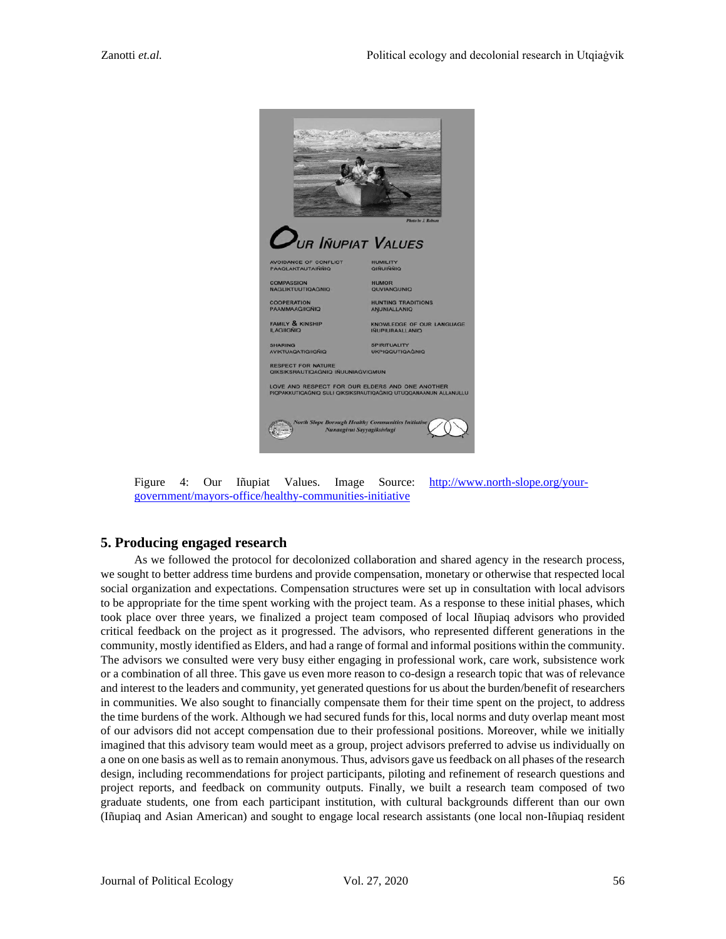

Figure 4: Our Iñupiat Values. Image Source: [http://www.north-slope.org/your](http://www.north-slope.org/your-government/mayors-office/healthy-communities-initiative)[government/mayors-office/healthy-communities-initiative](http://www.north-slope.org/your-government/mayors-office/healthy-communities-initiative)

# **5. Producing engaged research**

As we followed the protocol for decolonized collaboration and shared agency in the research process, we sought to better address time burdens and provide compensation, monetary or otherwise that respected local social organization and expectations. Compensation structures were set up in consultation with local advisors to be appropriate for the time spent working with the project team. As a response to these initial phases, which took place over three years, we finalized a project team composed of local Iñupiaq advisors who provided critical feedback on the project as it progressed. The advisors, who represented different generations in the community, mostly identified as Elders, and had a range of formal and informal positions within the community. The advisors we consulted were very busy either engaging in professional work, care work, subsistence work or a combination of all three. This gave us even more reason to co-design a research topic that was of relevance and interest to the leaders and community, yet generated questions for us about the burden/benefit of researchers in communities. We also sought to financially compensate them for their time spent on the project, to address the time burdens of the work. Although we had secured funds for this, local norms and duty overlap meant most of our advisors did not accept compensation due to their professional positions. Moreover, while we initially imagined that this advisory team would meet as a group, project advisors preferred to advise us individually on a one on one basis as well as to remain anonymous. Thus, advisors gave usfeedback on all phases of the research design, including recommendations for project participants, piloting and refinement of research questions and project reports, and feedback on community outputs. Finally, we built a research team composed of two graduate students, one from each participant institution, with cultural backgrounds different than our own (Iñupiaq and Asian American) and sought to engage local research assistants (one local non-Iñupiaq resident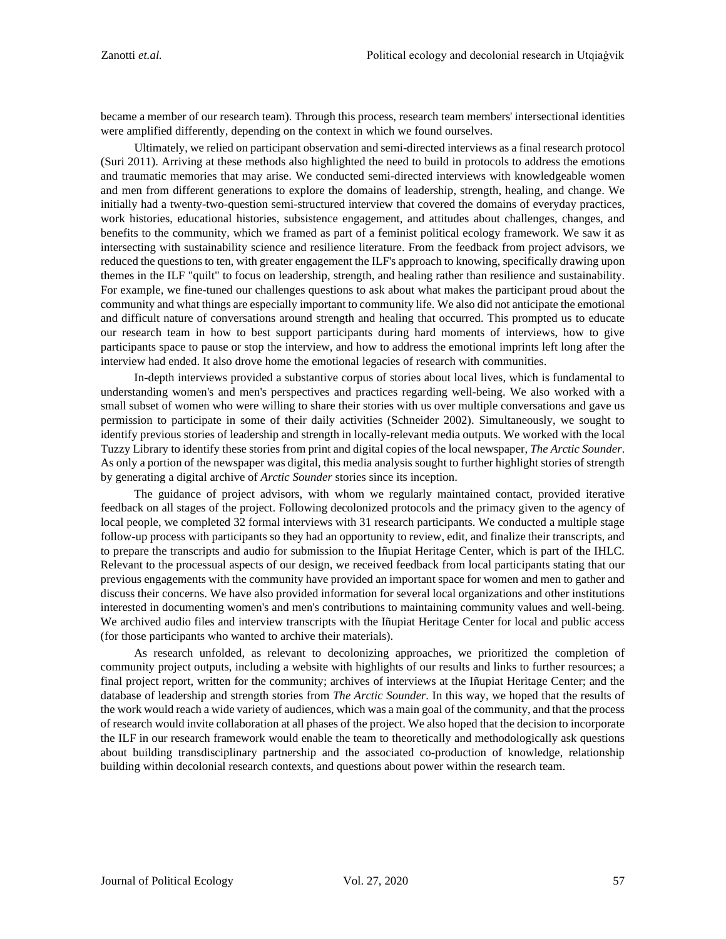became a member of our research team). Through this process, research team members' intersectional identities were amplified differently, depending on the context in which we found ourselves.

Ultimately, we relied on participant observation and semi-directed interviews as a final research protocol (Suri 2011). Arriving at these methods also highlighted the need to build in protocols to address the emotions and traumatic memories that may arise. We conducted semi-directed interviews with knowledgeable women and men from different generations to explore the domains of leadership, strength, healing, and change. We initially had a twenty-two-question semi-structured interview that covered the domains of everyday practices, work histories, educational histories, subsistence engagement, and attitudes about challenges, changes, and benefits to the community, which we framed as part of a feminist political ecology framework. We saw it as intersecting with sustainability science and resilience literature. From the feedback from project advisors, we reduced the questions to ten, with greater engagement the ILF's approach to knowing, specifically drawing upon themes in the ILF "quilt" to focus on leadership, strength, and healing rather than resilience and sustainability. For example, we fine-tuned our challenges questions to ask about what makes the participant proud about the community and what things are especially important to community life. We also did not anticipate the emotional and difficult nature of conversations around strength and healing that occurred. This prompted us to educate our research team in how to best support participants during hard moments of interviews, how to give participants space to pause or stop the interview, and how to address the emotional imprints left long after the interview had ended. It also drove home the emotional legacies of research with communities.

In-depth interviews provided a substantive corpus of stories about local lives, which is fundamental to understanding women's and men's perspectives and practices regarding well-being. We also worked with a small subset of women who were willing to share their stories with us over multiple conversations and gave us permission to participate in some of their daily activities (Schneider 2002). Simultaneously, we sought to identify previous stories of leadership and strength in locally-relevant media outputs. We worked with the local Tuzzy Library to identify these stories from print and digital copies of the local newspaper, *The Arctic Sounder*. As only a portion of the newspaper was digital, this media analysis sought to further highlight stories of strength by generating a digital archive of *Arctic Sounder* stories since its inception.

The guidance of project advisors, with whom we regularly maintained contact, provided iterative feedback on all stages of the project. Following decolonized protocols and the primacy given to the agency of local people, we completed 32 formal interviews with 31 research participants. We conducted a multiple stage follow-up process with participants so they had an opportunity to review, edit, and finalize their transcripts, and to prepare the transcripts and audio for submission to the Iñupiat Heritage Center, which is part of the IHLC. Relevant to the processual aspects of our design, we received feedback from local participants stating that our previous engagements with the community have provided an important space for women and men to gather and discuss their concerns. We have also provided information for several local organizations and other institutions interested in documenting women's and men's contributions to maintaining community values and well-being. We archived audio files and interview transcripts with the Iñupiat Heritage Center for local and public access (for those participants who wanted to archive their materials).

As research unfolded, as relevant to decolonizing approaches, we prioritized the completion of community project outputs, including a website with highlights of our results and links to further resources; a final project report, written for the community; archives of interviews at the Iñupiat Heritage Center; and the database of leadership and strength stories from *The Arctic Sounder*. In this way, we hoped that the results of the work would reach a wide variety of audiences, which was a main goal of the community, and that the process of research would invite collaboration at all phases of the project. We also hoped that the decision to incorporate the ILF in our research framework would enable the team to theoretically and methodologically ask questions about building transdisciplinary partnership and the associated co-production of knowledge, relationship building within decolonial research contexts, and questions about power within the research team.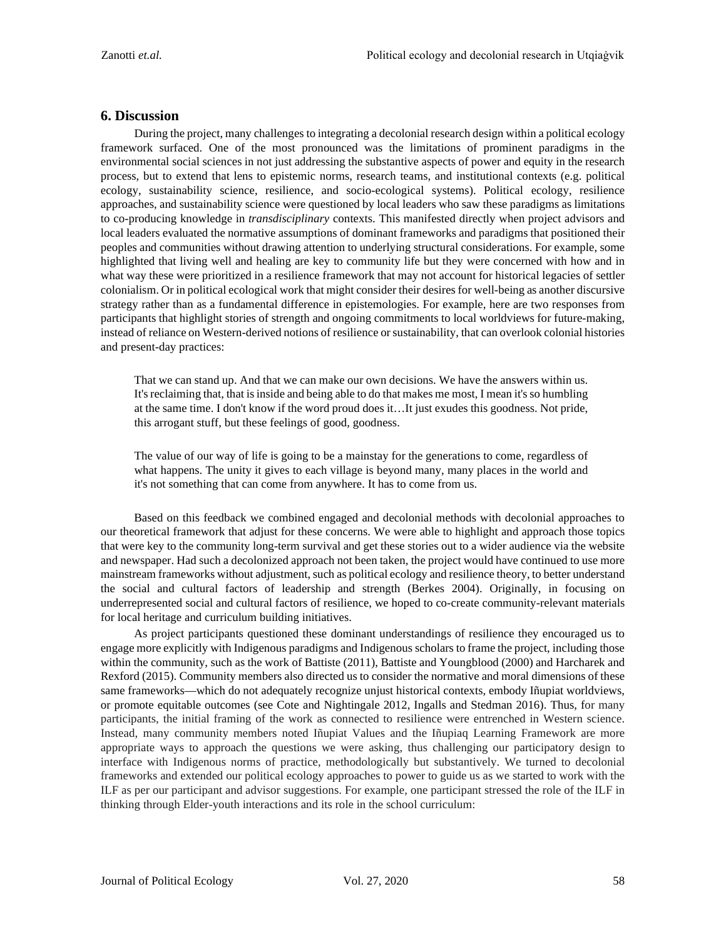## **6. Discussion**

During the project, many challenges to integrating a decolonial research design within a political ecology framework surfaced. One of the most pronounced was the limitations of prominent paradigms in the environmental social sciences in not just addressing the substantive aspects of power and equity in the research process, but to extend that lens to epistemic norms, research teams, and institutional contexts (e.g. political ecology, sustainability science, resilience, and socio-ecological systems). Political ecology, resilience approaches, and sustainability science were questioned by local leaders who saw these paradigms as limitations to co-producing knowledge in *transdisciplinary* contexts. This manifested directly when project advisors and local leaders evaluated the normative assumptions of dominant frameworks and paradigms that positioned their peoples and communities without drawing attention to underlying structural considerations. For example, some highlighted that living well and healing are key to community life but they were concerned with how and in what way these were prioritized in a resilience framework that may not account for historical legacies of settler colonialism. Or in political ecological work that might consider their desires for well-being as another discursive strategy rather than as a fundamental difference in epistemologies. For example, here are two responses from participants that highlight stories of strength and ongoing commitments to local worldviews for future-making, instead of reliance on Western-derived notions of resilience or sustainability, that can overlook colonial histories and present-day practices:

That we can stand up. And that we can make our own decisions. We have the answers within us. It's reclaiming that, that is inside and being able to do that makes me most, I mean it'sso humbling at the same time. I don't know if the word proud does it…It just exudes this goodness. Not pride, this arrogant stuff, but these feelings of good, goodness.

The value of our way of life is going to be a mainstay for the generations to come, regardless of what happens. The unity it gives to each village is beyond many, many places in the world and it's not something that can come from anywhere. It has to come from us.

Based on this feedback we combined engaged and decolonial methods with decolonial approaches to our theoretical framework that adjust for these concerns. We were able to highlight and approach those topics that were key to the community long-term survival and get these stories out to a wider audience via the website and newspaper. Had such a decolonized approach not been taken, the project would have continued to use more mainstream frameworks without adjustment, such as political ecology and resilience theory, to better understand the social and cultural factors of leadership and strength (Berkes 2004). Originally, in focusing on underrepresented social and cultural factors of resilience, we hoped to co-create community-relevant materials for local heritage and curriculum building initiatives.

As project participants questioned these dominant understandings of resilience they encouraged us to engage more explicitly with Indigenous paradigms and Indigenous scholars to frame the project, including those within the community, such as the work of Battiste (2011), Battiste and Youngblood (2000) and Harcharek and Rexford (2015). Community members also directed us to consider the normative and moral dimensions of these same frameworks—which do not adequately recognize unjust historical contexts, embody Iñupiat worldviews, or promote equitable outcomes (see Cote and Nightingale 2012, Ingalls and Stedman 2016). Thus, for many participants, the initial framing of the work as connected to resilience were entrenched in Western science. Instead, many community members noted Iñupiat Values and the Iñupiaq Learning Framework are more appropriate ways to approach the questions we were asking, thus challenging our participatory design to interface with Indigenous norms of practice, methodologically but substantively. We turned to decolonial frameworks and extended our political ecology approaches to power to guide us as we started to work with the ILF as per our participant and advisor suggestions. For example, one participant stressed the role of the ILF in thinking through Elder-youth interactions and its role in the school curriculum: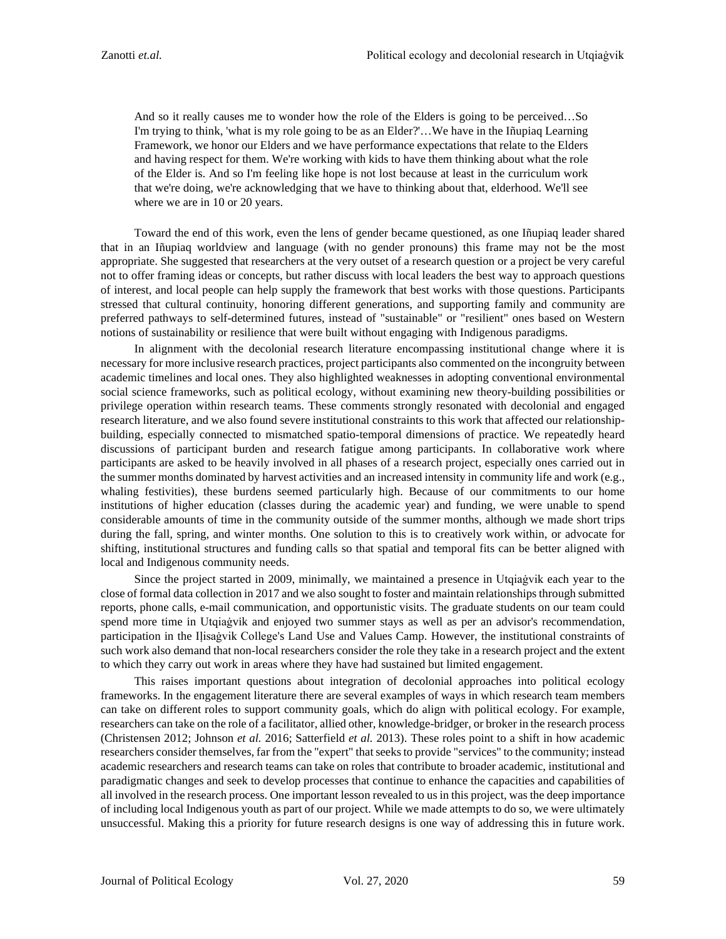And so it really causes me to wonder how the role of the Elders is going to be perceived…So I'm trying to think, 'what is my role going to be as an Elder?'…We have in the Iñupiaq Learning Framework, we honor our Elders and we have performance expectations that relate to the Elders and having respect for them. We're working with kids to have them thinking about what the role of the Elder is. And so I'm feeling like hope is not lost because at least in the curriculum work that we're doing, we're acknowledging that we have to thinking about that, elderhood. We'll see where we are in 10 or 20 years.

Toward the end of this work, even the lens of gender became questioned, as one Iñupiaq leader shared that in an Iñupiaq worldview and language (with no gender pronouns) this frame may not be the most appropriate. She suggested that researchers at the very outset of a research question or a project be very careful not to offer framing ideas or concepts, but rather discuss with local leaders the best way to approach questions of interest, and local people can help supply the framework that best works with those questions. Participants stressed that cultural continuity, honoring different generations, and supporting family and community are preferred pathways to self-determined futures, instead of "sustainable" or "resilient" ones based on Western notions of sustainability or resilience that were built without engaging with Indigenous paradigms.

In alignment with the decolonial research literature encompassing institutional change where it is necessary for more inclusive research practices, project participants also commented on the incongruity between academic timelines and local ones. They also highlighted weaknesses in adopting conventional environmental social science frameworks, such as political ecology, without examining new theory-building possibilities or privilege operation within research teams. These comments strongly resonated with decolonial and engaged research literature, and we also found severe institutional constraints to this work that affected our relationshipbuilding, especially connected to mismatched spatio-temporal dimensions of practice. We repeatedly heard discussions of participant burden and research fatigue among participants. In collaborative work where participants are asked to be heavily involved in all phases of a research project, especially ones carried out in the summer months dominated by harvest activities and an increased intensity in community life and work (e.g., whaling festivities), these burdens seemed particularly high. Because of our commitments to our home institutions of higher education (classes during the academic year) and funding, we were unable to spend considerable amounts of time in the community outside of the summer months, although we made short trips during the fall, spring, and winter months. One solution to this is to creatively work within, or advocate for shifting, institutional structures and funding calls so that spatial and temporal fits can be better aligned with local and Indigenous community needs.

Since the project started in 2009, minimally, we maintained a presence in Utqiaġvik each year to the close of formal data collection in 2017 and we also sought to foster and maintain relationships through submitted reports, phone calls, e-mail communication, and opportunistic visits. The graduate students on our team could spend more time in Utqiaġvik and enjoyed two summer stays as well as per an advisor's recommendation, participation in the Iḷisaġvik College's Land Use and Values Camp. However, the institutional constraints of such work also demand that non-local researchers consider the role they take in a research project and the extent to which they carry out work in areas where they have had sustained but limited engagement.

This raises important questions about integration of decolonial approaches into political ecology frameworks. In the engagement literature there are several examples of ways in which research team members can take on different roles to support community goals, which do align with political ecology. For example, researchers can take on the role of a facilitator, allied other, knowledge-bridger, or broker in the research process (Christensen 2012; Johnson *et al.* 2016; Satterfield *et al.* 2013). These roles point to a shift in how academic researchers consider themselves, far from the "expert" that seeks to provide "services" to the community; instead academic researchers and research teams can take on roles that contribute to broader academic, institutional and paradigmatic changes and seek to develop processes that continue to enhance the capacities and capabilities of all involved in the research process. One important lesson revealed to us in this project, was the deep importance of including local Indigenous youth as part of our project. While we made attempts to do so, we were ultimately unsuccessful. Making this a priority for future research designs is one way of addressing this in future work.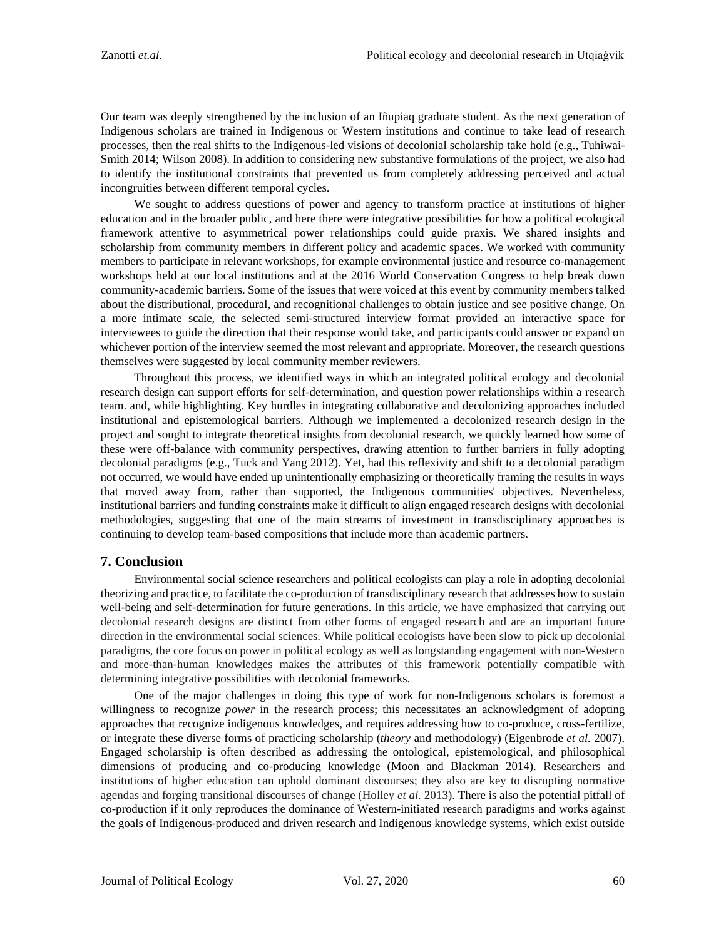Our team was deeply strengthened by the inclusion of an Iñupiaq graduate student. As the next generation of Indigenous scholars are trained in Indigenous or Western institutions and continue to take lead of research processes, then the real shifts to the Indigenous-led visions of decolonial scholarship take hold (e.g., Tuhiwai-Smith 2014; Wilson 2008). In addition to considering new substantive formulations of the project, we also had to identify the institutional constraints that prevented us from completely addressing perceived and actual incongruities between different temporal cycles.

We sought to address questions of power and agency to transform practice at institutions of higher education and in the broader public, and here there were integrative possibilities for how a political ecological framework attentive to asymmetrical power relationships could guide praxis. We shared insights and scholarship from community members in different policy and academic spaces. We worked with community members to participate in relevant workshops, for example environmental justice and resource co-management workshops held at our local institutions and at the 2016 World Conservation Congress to help break down community-academic barriers. Some of the issues that were voiced at this event by community members talked about the distributional, procedural, and recognitional challenges to obtain justice and see positive change. On a more intimate scale, the selected semi-structured interview format provided an interactive space for interviewees to guide the direction that their response would take, and participants could answer or expand on whichever portion of the interview seemed the most relevant and appropriate. Moreover, the research questions themselves were suggested by local community member reviewers.

Throughout this process, we identified ways in which an integrated political ecology and decolonial research design can support efforts for self-determination, and question power relationships within a research team. and, while highlighting. Key hurdles in integrating collaborative and decolonizing approaches included institutional and epistemological barriers. Although we implemented a decolonized research design in the project and sought to integrate theoretical insights from decolonial research, we quickly learned how some of these were off-balance with community perspectives, drawing attention to further barriers in fully adopting decolonial paradigms (e.g., Tuck and Yang 2012). Yet, had this reflexivity and shift to a decolonial paradigm not occurred, we would have ended up unintentionally emphasizing or theoretically framing the results in ways that moved away from, rather than supported, the Indigenous communities' objectives. Nevertheless, institutional barriers and funding constraints make it difficult to align engaged research designs with decolonial methodologies, suggesting that one of the main streams of investment in transdisciplinary approaches is continuing to develop team-based compositions that include more than academic partners.

# **7. Conclusion**

Environmental social science researchers and political ecologists can play a role in adopting decolonial theorizing and practice, to facilitate the co-production of transdisciplinary research that addresses how to sustain well-being and self-determination for future generations. In this article, we have emphasized that carrying out decolonial research designs are distinct from other forms of engaged research and are an important future direction in the environmental social sciences. While political ecologists have been slow to pick up decolonial paradigms, the core focus on power in political ecology as well as longstanding engagement with non-Western and more-than-human knowledges makes the attributes of this framework potentially compatible with determining integrative possibilities with decolonial frameworks.

One of the major challenges in doing this type of work for non-Indigenous scholars is foremost a willingness to recognize *power* in the research process; this necessitates an acknowledgment of adopting approaches that recognize indigenous knowledges, and requires addressing how to co-produce, cross-fertilize, or integrate these diverse forms of practicing scholarship (*theory* and methodology) (Eigenbrode *et al.* 2007). Engaged scholarship is often described as addressing the ontological, epistemological, and philosophical dimensions of producing and co-producing knowledge (Moon and Blackman 2014). Researchers and institutions of higher education can uphold dominant discourses; they also are key to disrupting normative agendas and forging transitional discourses of change (Holley *et al.* 2013). There is also the potential pitfall of co-production if it only reproduces the dominance of Western-initiated research paradigms and works against the goals of Indigenous-produced and driven research and Indigenous knowledge systems, which exist outside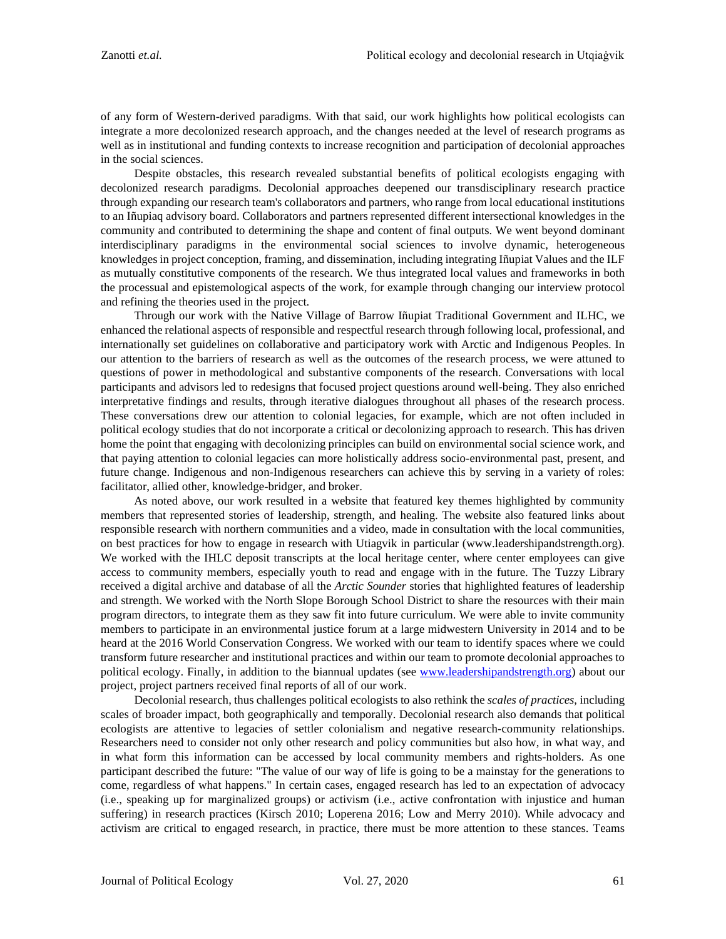of any form of Western-derived paradigms. With that said, our work highlights how political ecologists can integrate a more decolonized research approach, and the changes needed at the level of research programs as well as in institutional and funding contexts to increase recognition and participation of decolonial approaches in the social sciences.

Despite obstacles, this research revealed substantial benefits of political ecologists engaging with decolonized research paradigms. Decolonial approaches deepened our transdisciplinary research practice through expanding our research team's collaborators and partners, who range from local educational institutions to an Iñupiaq advisory board. Collaborators and partners represented different intersectional knowledges in the community and contributed to determining the shape and content of final outputs. We went beyond dominant interdisciplinary paradigms in the environmental social sciences to involve dynamic, heterogeneous knowledges in project conception, framing, and dissemination, including integrating Iñupiat Values and the ILF as mutually constitutive components of the research. We thus integrated local values and frameworks in both the processual and epistemological aspects of the work, for example through changing our interview protocol and refining the theories used in the project.

Through our work with the Native Village of Barrow Iñupiat Traditional Government and ILHC, we enhanced the relational aspects of responsible and respectful research through following local, professional, and internationally set guidelines on collaborative and participatory work with Arctic and Indigenous Peoples. In our attention to the barriers of research as well as the outcomes of the research process, we were attuned to questions of power in methodological and substantive components of the research. Conversations with local participants and advisors led to redesigns that focused project questions around well-being. They also enriched interpretative findings and results, through iterative dialogues throughout all phases of the research process. These conversations drew our attention to colonial legacies, for example, which are not often included in political ecology studies that do not incorporate a critical or decolonizing approach to research. This has driven home the point that engaging with decolonizing principles can build on environmental social science work, and that paying attention to colonial legacies can more holistically address socio-environmental past, present, and future change. Indigenous and non-Indigenous researchers can achieve this by serving in a variety of roles: facilitator, allied other, knowledge-bridger, and broker.

As noted above, our work resulted in a website that featured key themes highlighted by community members that represented stories of leadership, strength, and healing. The website also featured links about responsible research with northern communities and a video, made in consultation with the local communities, on best practices for how to engage in research with Utiagvik in particular (www.leadershipandstrength.org). We worked with the IHLC deposit transcripts at the local heritage center, where center employees can give access to community members, especially youth to read and engage with in the future. The Tuzzy Library received a digital archive and database of all the *Arctic Sounder* stories that highlighted features of leadership and strength. We worked with the North Slope Borough School District to share the resources with their main program directors, to integrate them as they saw fit into future curriculum. We were able to invite community members to participate in an environmental justice forum at a large midwestern University in 2014 and to be heard at the 2016 World Conservation Congress. We worked with our team to identify spaces where we could transform future researcher and institutional practices and within our team to promote decolonial approaches to political ecology. Finally, in addition to the biannual updates (see [www.leadershipandstrength.org\)](http://www.leadershipandstrength.org/) about our project, project partners received final reports of all of our work.

Decolonial research, thus challenges political ecologists to also rethink the *scales of practices*, including scales of broader impact, both geographically and temporally. Decolonial research also demands that political ecologists are attentive to legacies of settler colonialism and negative research-community relationships. Researchers need to consider not only other research and policy communities but also how, in what way, and in what form this information can be accessed by local community members and rights-holders. As one participant described the future: "The value of our way of life is going to be a mainstay for the generations to come, regardless of what happens." In certain cases, engaged research has led to an expectation of advocacy (i.e., speaking up for marginalized groups) or activism (i.e., active confrontation with injustice and human suffering) in research practices (Kirsch 2010; Loperena 2016; Low and Merry 2010). While advocacy and activism are critical to engaged research, in practice, there must be more attention to these stances. Teams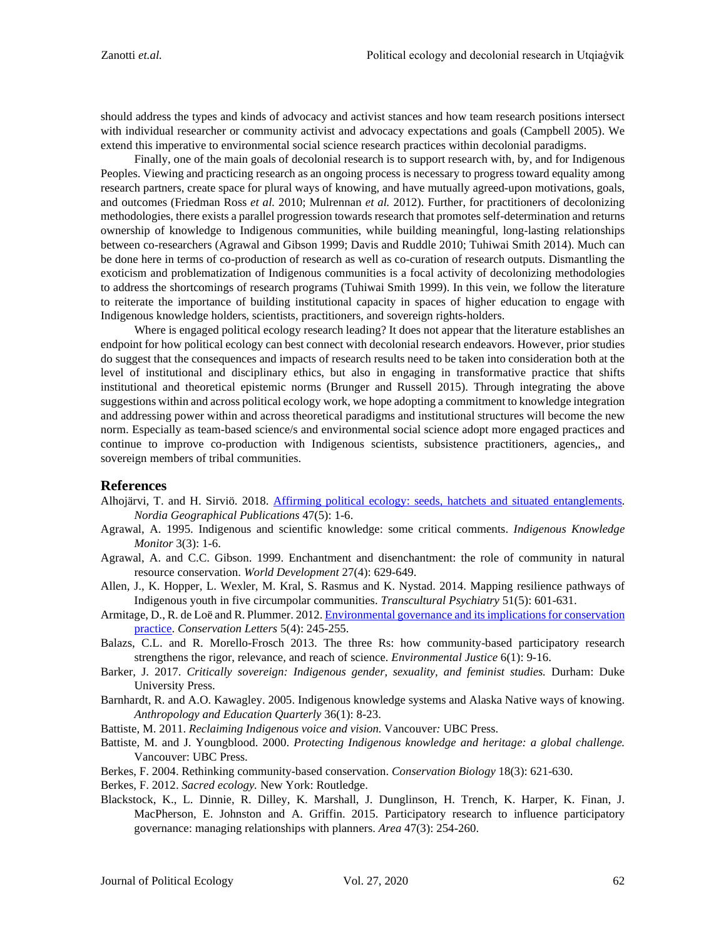should address the types and kinds of advocacy and activist stances and how team research positions intersect with individual researcher or community activist and advocacy expectations and goals (Campbell 2005). We extend this imperative to environmental social science research practices within decolonial paradigms.

Finally, one of the main goals of decolonial research is to support research with, by, and for Indigenous Peoples. Viewing and practicing research as an ongoing process is necessary to progress toward equality among research partners, create space for plural ways of knowing, and have mutually agreed-upon motivations, goals, and outcomes (Friedman Ross *et al.* 2010; Mulrennan *et al.* 2012). Further, for practitioners of decolonizing methodologies, there exists a parallel progression towards research that promotes self-determination and returns ownership of knowledge to Indigenous communities, while building meaningful, long-lasting relationships between co-researchers (Agrawal and Gibson 1999; Davis and Ruddle 2010; Tuhiwai Smith 2014). Much can be done here in terms of co-production of research as well as co-curation of research outputs. Dismantling the exoticism and problematization of Indigenous communities is a focal activity of decolonizing methodologies to address the shortcomings of research programs (Tuhiwai Smith 1999). In this vein, we follow the literature to reiterate the importance of building institutional capacity in spaces of higher education to engage with Indigenous knowledge holders, scientists, practitioners, and sovereign rights-holders.

Where is engaged political ecology research leading? It does not appear that the literature establishes an endpoint for how political ecology can best connect with decolonial research endeavors. However, prior studies do suggest that the consequences and impacts of research results need to be taken into consideration both at the level of institutional and disciplinary ethics, but also in engaging in transformative practice that shifts institutional and theoretical epistemic norms (Brunger and Russell 2015). Through integrating the above suggestions within and across political ecology work, we hope adopting a commitment to knowledge integration and addressing power within and across theoretical paradigms and institutional structures will become the new norm. Especially as team-based science/s and environmental social science adopt more engaged practices and continue to improve co-production with Indigenous scientists, subsistence practitioners, agencies,, and sovereign members of tribal communities.

### **References**

- Alhojärvi, T. and H. Sirviö. 2018. [Affirming political ecology: seeds, hatchets and situated entanglements.](https://nordia.journal.fi/article/view/79926) *Nordia Geographical Publications* 47(5): 1-6.
- Agrawal, A. 1995. Indigenous and scientific knowledge: some critical comments. *Indigenous Knowledge Monitor* 3(3): 1-6.
- Agrawal, A. and C.C. Gibson. 1999. Enchantment and disenchantment: the role of community in natural resource conservation. *World Development* 27(4): 629-649.
- Allen, J., K. Hopper, L. Wexler, M. Kral, S. Rasmus and K. Nystad. 2014. Mapping resilience pathways of Indigenous youth in five circumpolar communities. *Transcultural Psychiatry* 51(5): 601-631.
- Armitage, D., R. de Loë and R. Plummer. 2012[. Environmental governance and its implications for conservation](https://conbio.onlinelibrary.wiley.com/doi/10.1111/j.1755-263X.2012.00238.x)  [practice.](https://conbio.onlinelibrary.wiley.com/doi/10.1111/j.1755-263X.2012.00238.x) *Conservation Letters* 5(4): 245-255.
- Balazs, C.L. and R. Morello-Frosch 2013. The three Rs: how community-based participatory research strengthens the rigor, relevance, and reach of science. *Environmental Justice* 6(1): 9-16.
- Barker, J. 2017. *Critically sovereign: Indigenous gender, sexuality, and feminist studies.* Durham: Duke University Press.
- Barnhardt, R. and A.O. Kawagley. 2005. Indigenous knowledge systems and Alaska Native ways of knowing. *Anthropology and Education Quarterly* 36(1): 8-23.
- Battiste, M. 2011. *Reclaiming Indigenous voice and vision.* Vancouver*:* UBC Press.
- Battiste, M. and J. Youngblood. 2000. *Protecting Indigenous knowledge and heritage: a global challenge.*  Vancouver: UBC Press.
- Berkes, F. 2004. Rethinking community-based conservation. *Conservation Biology* 18(3): 621-630.
- Berkes, F. 2012. *Sacred ecology.* New York: Routledge.
- Blackstock, K., L. Dinnie, R. Dilley, K. Marshall, J. Dunglinson, H. Trench, K. Harper, K. Finan, J. MacPherson, E. Johnston and A. Griffin. 2015. Participatory research to influence participatory governance: managing relationships with planners. *Area* 47(3): 254-260.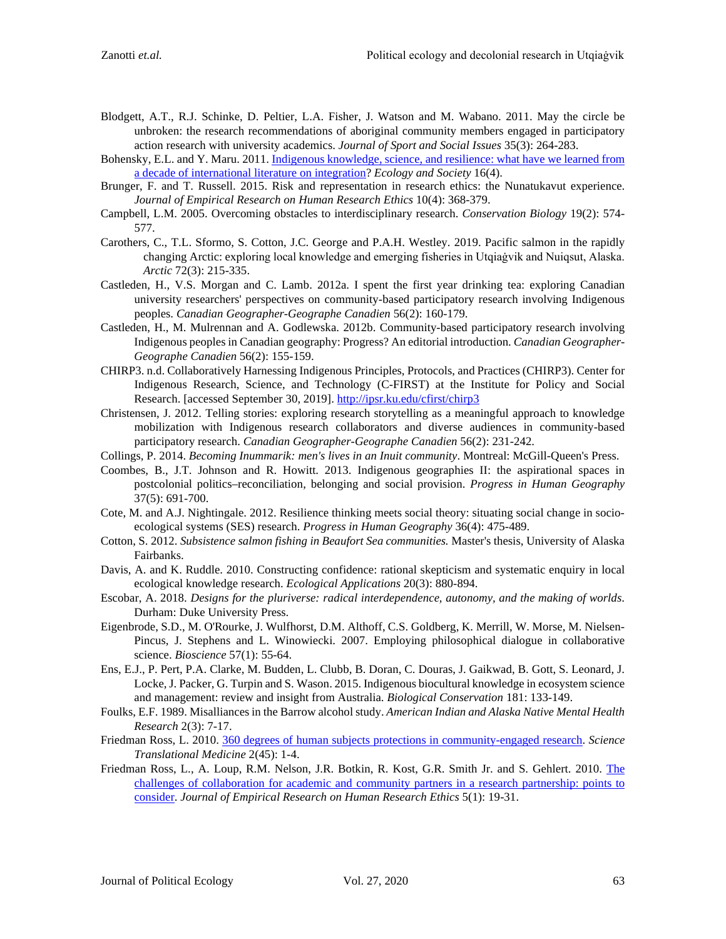- Blodgett, A.T., R.J. Schinke, D. Peltier, L.A. Fisher, J. Watson and M. Wabano. 2011. May the circle be unbroken: the research recommendations of aboriginal community members engaged in participatory action research with university academics. *Journal of Sport and Social Issues* 35(3): 264-283.
- Bohensky, E.L. and Y. Maru. 2011[. Indigenous knowledge, science, and resilience: what have we learned from](http://dx.doi.org/10.5751/ES-04342-160406)  [a decade of international literature on integration?](http://dx.doi.org/10.5751/ES-04342-160406) *Ecology and Society* 16(4).
- Brunger, F. and T. Russell. 2015. Risk and representation in research ethics: the Nunatukavut experience. *Journal of Empirical Research on Human Research Ethics* 10(4): 368-379.
- Campbell, L.M. 2005. Overcoming obstacles to interdisciplinary research. *Conservation Biology* 19(2): 574- 577.
- Carothers, C., T.L. Sformo, S. Cotton, J.C. George and P.A.H. Westley. 2019. Pacific salmon in the rapidly changing Arctic: exploring local knowledge and emerging fisheries in Utqiaġvik and Nuiqsut, Alaska. *Arctic* 72(3): 215-335.
- Castleden, H., V.S. Morgan and C. Lamb. 2012a. I spent the first year drinking tea: exploring Canadian university researchers' perspectives on community-based participatory research involving Indigenous peoples. *Canadian Geographer-Geographe Canadien* 56(2): 160-179.
- Castleden, H., M. Mulrennan and A. Godlewska. 2012b. Community-based participatory research involving Indigenous peoples in Canadian geography: Progress? An editorial introduction. *Canadian Geographer-Geographe Canadien* 56(2): 155-159.
- CHIRP3. n.d. Collaboratively Harnessing Indigenous Principles, Protocols, and Practices (CHIRP3). Center for Indigenous Research, Science, and Technology (C-FIRST) at the Institute for Policy and Social Research. [accessed September 30, 2019].<http://ipsr.ku.edu/cfirst/chirp3>
- Christensen, J. 2012. Telling stories: exploring research storytelling as a meaningful approach to knowledge mobilization with Indigenous research collaborators and diverse audiences in community-based participatory research. *Canadian Geographer-Geographe Canadien* 56(2): 231-242.
- Collings, P. 2014. *Becoming Inummarik: men's lives in an Inuit community*. Montreal: McGill-Queen's Press.
- Coombes, B., J.T. Johnson and R. Howitt. 2013. Indigenous geographies II: the aspirational spaces in postcolonial politics–reconciliation, belonging and social provision. *Progress in Human Geography* 37(5): 691-700.
- Cote, M. and A.J. Nightingale. 2012. Resilience thinking meets social theory: situating social change in socioecological systems (SES) research. *Progress in Human Geography* 36(4): 475-489.
- Cotton, S. 2012. *Subsistence salmon fishing in Beaufort Sea communities.* Master's thesis, University of Alaska Fairbanks.
- Davis, A. and K. Ruddle. 2010. Constructing confidence: rational skepticism and systematic enquiry in local ecological knowledge research. *Ecological Applications* 20(3): 880-894.
- Escobar, A. 2018. *Designs for the pluriverse: radical interdependence, autonomy, and the making of worlds*. Durham: Duke University Press.
- Eigenbrode, S.D., M. O'Rourke, J. Wulfhorst, D.M. Althoff, C.S. Goldberg, K. Merrill, W. Morse, M. Nielsen-Pincus, J. Stephens and L. Winowiecki. 2007. Employing philosophical dialogue in collaborative science. *Bioscience* 57(1): 55-64.
- Ens, E.J., P. Pert, P.A. Clarke, M. Budden, L. Clubb, B. Doran, C. Douras, J. Gaikwad, B. Gott, S. Leonard, J. Locke, J. Packer, G. Turpin and S. Wason. 2015. Indigenous biocultural knowledge in ecosystem science and management: review and insight from Australia. *Biological Conservation* 181: 133-149.
- Foulks, E.F. 1989. Misalliances in the Barrow alcohol study. *American Indian and Alaska Native Mental Health Research* 2(3): 7-17.
- Friedman Ross, L. 2010. [360 degrees of human subjects protections in community-engaged research.](https://www.ncbi.nlm.nih.gov/pmc/articles/PMC4261185/) *Science Translational Medicine* 2(45): 1-4.
- Friedman Ross, L., A. Loup, R.M. Nelson, J.R. Botkin, R. Kost, G.R. Smith Jr. and S. Gehlert. 2010. [The](https://www.ncbi.nlm.nih.gov/pmc/articles/PMC2946316/)  [challenges of collaboration for academic and community partners in a research partnership: points to](https://www.ncbi.nlm.nih.gov/pmc/articles/PMC2946316/)  [consider.](https://www.ncbi.nlm.nih.gov/pmc/articles/PMC2946316/) *Journal of Empirical Research on Human Research Ethics* 5(1): 19-31.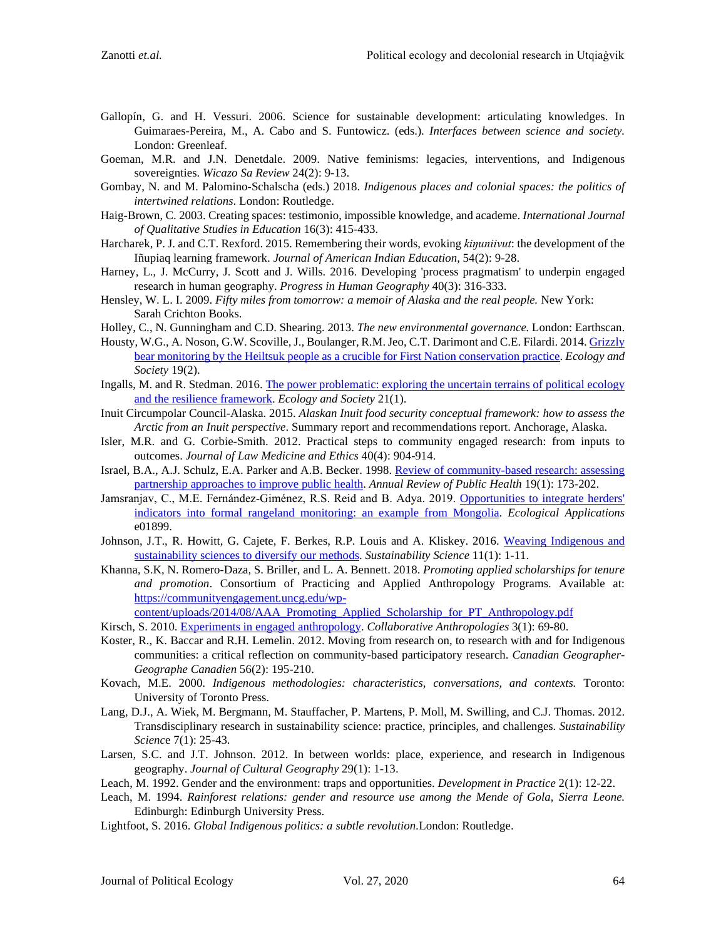- Gallopín, G. and H. Vessuri. 2006. Science for sustainable development: articulating knowledges. In Guimaraes-Pereira, M., A. Cabo and S. Funtowicz. (eds.). *Interfaces between science and society.* London: Greenleaf.
- Goeman, M.R. and J.N. Denetdale. 2009. Native feminisms: legacies, interventions, and Indigenous sovereignties. *Wicazo Sa Review* 24(2): 9-13.
- Gombay, N. and M. Palomino-Schalscha (eds.) 2018. *Indigenous places and colonial spaces: the politics of intertwined relations*. London: Routledge.
- Haig-Brown, C. 2003. Creating spaces: testimonio, impossible knowledge, and academe. *International Journal of Qualitative Studies in Education* 16(3): 415-433.
- Harcharek, P. J. and C.T. Rexford. 2015. Remembering their words, evoking *kiŋuniivut*: the development of the Iñupiaq learning framework. *Journal of American Indian Education,* 54(2): 9-28.
- Harney, L., J. McCurry, J. Scott and J. Wills. 2016. Developing 'process pragmatism' to underpin engaged research in human geography. *Progress in Human Geography* 40(3): 316-333.
- Hensley, W. L. I. 2009. *Fifty miles from tomorrow: a memoir of Alaska and the real people.* New York: Sarah Crichton Books.
- Holley, C., N. Gunningham and C.D. Shearing. 2013. *The new environmental governance.* London: Earthscan.
- Housty, W.G., A. Noson, G.W. Scoville, J., Boulanger, R.M. Jeo, C.T. Darimont and C.E. Filardi. 2014[. Grizzly](http://dx.doi.org/10.5751/ES-06668-190270)  [bear monitoring by the Heiltsuk people as a crucible for First Nation conservation practice.](http://dx.doi.org/10.5751/ES-06668-190270) *Ecology and Society* 19(2).
- Ingalls, M. and R. Stedman. 2016. [The power problematic: exploring the uncertain terrains of political ecology](http://dx.doi.org/10.5751/ES-08124-210106)  [and the resilience framework.](http://dx.doi.org/10.5751/ES-08124-210106) *Ecology and Society* 21(1).
- Inuit Circumpolar Council-Alaska. 2015. *Alaskan Inuit food security conceptual framework: how to assess the Arctic from an Inuit perspective*. Summary report and recommendations report. Anchorage, Alaska.
- Isler, M.R. and G. Corbie-Smith. 2012. Practical steps to community engaged research: from inputs to outcomes. *Journal of Law Medicine and Ethics* 40(4): 904-914.
- Israel, B.A., A.J. Schulz, E.A. Parker and A.B. Becker. 1998. [Review of community-based research: assessing](https://doi.org/10.1146/annurev.publhealth.19.1.173)  [partnership approaches to improve public health.](https://doi.org/10.1146/annurev.publhealth.19.1.173) *Annual Review of Public Health* 19(1): 173-202.
- Jamsranjav, C., M.E. Fernández-Giménez, R.S. Reid and B. Adya. 2019. [Opportunities to integrate herders'](https://www.ncbi.nlm.nih.gov/pmc/articles/PMC6851969/) [indicators into formal rangeland monitoring: an example from Mongolia.](https://www.ncbi.nlm.nih.gov/pmc/articles/PMC6851969/) *Ecological Applications*  e01899.
- Johnson, J.T., R. Howitt, G. Cajete, F. Berkes, R.P. Louis and A. Kliskey. 2016. Weaving Indigenous and [sustainability sciences to diversify our methods.](https://link.springer.com/article/10.1007%2Fs11625-015-0349-x) *Sustainability Science* 11(1): 1-11.
- Khanna, S.K, N. Romero-Daza, S. Briller, and L. A. Bennett. 2018. *Promoting applied scholarships for tenure and promotion*. Consortium of Practicing and Applied Anthropology Programs. Available at: https://communityengagement.uncg.edu/wp-

content/uploads/2014/08/AAA\_Promoting\_Applied\_Scholarship\_for\_PT\_Anthropology.pdf

- Kirsch, S. 2010. [Experiments in engaged anthropology.](https://www.semanticscholar.org/paper/Experiments-in-Engaged-Anthropology-Kirsch/c0bc2384c38cee5ce13c17a1121432151648c49a) *Collaborative Anthropologies* 3(1): 69-80.
- Koster, R., K. Baccar and R.H. Lemelin. 2012. Moving from research on, to research with and for Indigenous communities: a critical reflection on community-based participatory research. *Canadian Geographer-Geographe Canadien* 56(2): 195-210.
- Kovach, M.E. 2000. *Indigenous methodologies: characteristics, conversations, and contexts.* Toronto: University of Toronto Press.
- Lang, D.J., A. Wiek, M. Bergmann, M. Stauffacher, P. Martens, P. Moll, M. Swilling, and C.J. Thomas. 2012. Transdisciplinary research in sustainability science: practice, principles, and challenges. *Sustainability Scienc*e 7(1): 25-43.
- Larsen, S.C. and J.T. Johnson. 2012. In between worlds: place, experience, and research in Indigenous geography. *Journal of Cultural Geography* 29(1): 1-13.
- Leach, M. 1992. Gender and the environment: traps and opportunities. *Development in Practice* 2(1): 12-22.
- Leach, M. 1994. *Rainforest relations: gender and resource use among the Mende of Gola, Sierra Leone.* Edinburgh: Edinburgh University Press.
- Lightfoot, S. 2016. *Global Indigenous politics: a subtle revolution.*London: Routledge.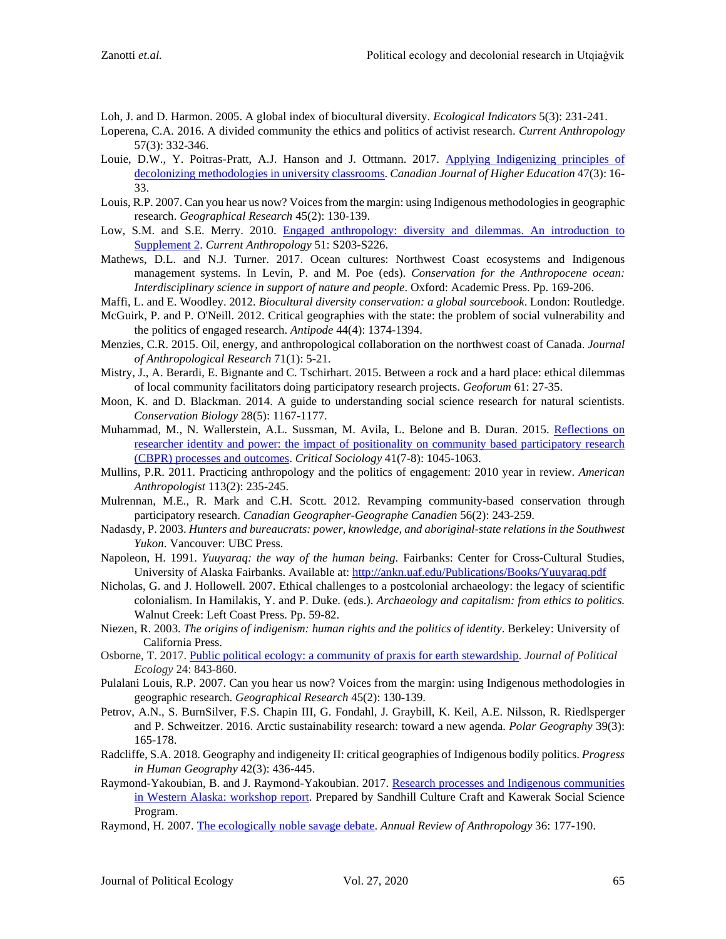- Loh, J. and D. Harmon. 2005. A global index of biocultural diversity. *Ecological Indicators* 5(3): 231-241.
- Loperena, C.A. 2016. A divided community the ethics and politics of activist research. *Current Anthropology* 57(3): 332-346.
- Louie, D.W., Y. Poitras-Pratt, A.J. Hanson and J. Ottmann. 2017. [Applying Indigenizing principles of](http://journals.sfu.ca/cjhe/index.php/cjhe/article/view/187948)  [decolonizing methodologies in university classrooms.](http://journals.sfu.ca/cjhe/index.php/cjhe/article/view/187948) *Canadian Journal of Higher Education* 47(3): 16- 33.
- Louis, R.P. 2007. Can you hear us now? Voices from the margin: using Indigenous methodologies in geographic research. *Geographical Research* 45(2): 130-139.
- Low, S.M. and S.E. Merry. 2010. [Engaged anthropology: diversity and dilemmas. An introduction to](https://www.semanticscholar.org/paper/Engaged-Anthropology-%3A-Diversity-and-Dilemmas-%3A-An-Merry/fe0c91eb95e4278ce8fd53a22a75f596bcfde165)  [Supplement 2.](https://www.semanticscholar.org/paper/Engaged-Anthropology-%3A-Diversity-and-Dilemmas-%3A-An-Merry/fe0c91eb95e4278ce8fd53a22a75f596bcfde165) *Current Anthropology* 51: S203-S226.
- Mathews, D.L. and N.J. Turner. 2017. Ocean cultures: Northwest Coast ecosystems and Indigenous management systems. In Levin, P. and M. Poe (eds). *Conservation for the Anthropocene ocean: Interdisciplinary science in support of nature and people*. Oxford: Academic Press. Pp. 169-206.
- Maffi, L. and E. Woodley. 2012. *Biocultural diversity conservation: a global sourcebook*. London: Routledge.
- McGuirk, P. and P. O'Neill. 2012. Critical geographies with the state: the problem of social vulnerability and the politics of engaged research. *Antipode* 44(4): 1374-1394.
- Menzies, C.R. 2015. Oil, energy, and anthropological collaboration on the northwest coast of Canada. *Journal of Anthropological Research* 71(1): 5-21.
- Mistry, J., A. Berardi, E. Bignante and C. Tschirhart. 2015. Between a rock and a hard place: ethical dilemmas of local community facilitators doing participatory research projects. *Geoforum* 61: 27-35.
- Moon, K. and D. Blackman. 2014. A guide to understanding social science research for natural scientists. *Conservation Biology* 28(5): 1167-1177.
- Muhammad, M., N. Wallerstein, A.L. Sussman, M. Avila, L. Belone and B. Duran. 2015. [Reflections on](https://www.ncbi.nlm.nih.gov/pmc/articles/PMC4943756/)  [researcher identity and power: the impact of positionality on community based participatory research](https://www.ncbi.nlm.nih.gov/pmc/articles/PMC4943756/)  [\(CBPR\) processes and outcomes.](https://www.ncbi.nlm.nih.gov/pmc/articles/PMC4943756/) *Critical Sociology* 41(7-8): 1045-1063.
- Mullins, P.R. 2011. Practicing anthropology and the politics of engagement: 2010 year in review. *American Anthropologist* 113(2): 235-245.
- Mulrennan, M.E., R. Mark and C.H. Scott. 2012. Revamping community-based conservation through participatory research. *Canadian Geographer-Geographe Canadien* 56(2): 243-259.
- Nadasdy, P. 2003. *Hunters and bureaucrats: power, knowledge, and aboriginal-state relations in the Southwest Yukon*. Vancouver: UBC Press.
- Napoleon, H. 1991. *Yuuyaraq: the way of the human being.* Fairbanks: Center for Cross-Cultural Studies, University of Alaska Fairbanks. Available at:<http://ankn.uaf.edu/Publications/Books/Yuuyaraq.pdf>
- Nicholas, G. and J. Hollowell. 2007. Ethical challenges to a postcolonial archaeology: the legacy of scientific colonialism. In Hamilakis, Y. and P. Duke. (eds.). *Archaeology and capitalism: from ethics to politics.* Walnut Creek: Left Coast Press. Pp. 59-82.
- Niezen, R. 2003. *The origins of indigenism: human rights and the politics of identity*. Berkeley: University of California Press.
- Osborne, T. 2017. [Public political ecology: a community of praxis for earth stewardship.](https://doi.org/10.2458/v24i1.20970) *Journal of Political Ecology* 24: 843-860.
- Pulalani Louis, R.P. 2007. Can you hear us now? Voices from the margin: using Indigenous methodologies in geographic research. *Geographical Research* 45(2): 130-139.
- Petrov, A.N., S. BurnSilver, F.S. Chapin III, G. Fondahl, J. Graybill, K. Keil, A.E. Nilsson, R. Riedlsperger and P. Schweitzer. 2016. Arctic sustainability research: toward a new agenda. *Polar Geography* 39(3): 165-178.
- Radcliffe, S.A. 2018. Geography and indigeneity II: critical geographies of Indigenous bodily politics. *Progress in Human Geography* 42(3): 436-445.
- Raymond-Yakoubian, B. and J. Raymond-Yakoubian. 2017. [Research processes and Indigenous communities](https://kawerak.org/wp-content/uploads/2018/04/Research-Processes-and-Indigenous-Communities-in-Western-Alaska-Workshop-Report.pdf)  [in Western Alaska: workshop report.](https://kawerak.org/wp-content/uploads/2018/04/Research-Processes-and-Indigenous-Communities-in-Western-Alaska-Workshop-Report.pdf) Prepared by Sandhill Culture Craft and Kawerak Social Science Program.
- Raymond, H. 2007. [The ecologically noble savage debate.](https://www.unl.edu/rhames/ms/savage-prepub.pdf) *Annual Review of Anthropology* 36: 177-190.